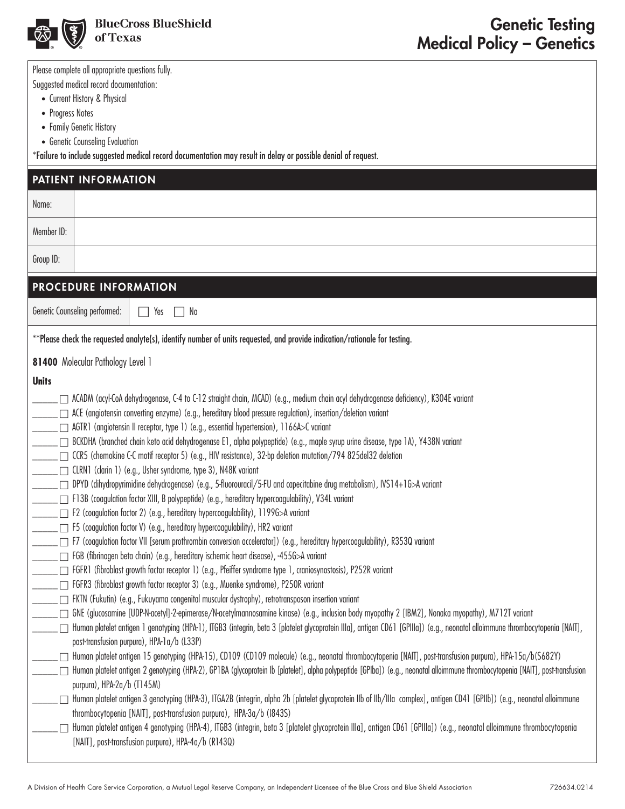

Please complete all appropriate questions fully.

Suggested medical record documentation:

- Current History & Physical
- Progress Notes
- Family Genetic History
- Genetic Counseling Evaluation

\*Failure to include suggested medical record documentation may result in delay or possible denial of request.

|              | PATIENT INFORMATION                                                                                                                                                                                                                                       |
|--------------|-----------------------------------------------------------------------------------------------------------------------------------------------------------------------------------------------------------------------------------------------------------|
| Name:        |                                                                                                                                                                                                                                                           |
| Member ID:   |                                                                                                                                                                                                                                                           |
| Group ID:    |                                                                                                                                                                                                                                                           |
|              | PROCEDURE INFORMATION                                                                                                                                                                                                                                     |
|              | Genetic Counseling performed:<br>Yes<br>No<br>$\vert \ \ \vert$                                                                                                                                                                                           |
|              | **Please check the requested analyte(s), identify number of units requested, and provide indication/rationale for testing.                                                                                                                                |
|              | 81400 Molecular Pathology Level 1                                                                                                                                                                                                                         |
| <b>Units</b> |                                                                                                                                                                                                                                                           |
|              | ACADM (acyl-CoA dehydrogenase, C-4 to C-12 straight chain, MCAD) (e.g., medium chain acyl dehydrogenase deficiency), K304E variant<br>$\Box$ ACE (angiotensin converting enzyme) (e.g., hereditary blood pressure regulation), insertion/deletion variant |
|              | □ AGTR1 (angiotensin II receptor, type 1) (e.g., essential hypertension), 1166A>C variant                                                                                                                                                                 |
|              | □ BCKDHA (branched chain keto acid dehydrogenase E1, alpha polypeptide) (e.g., maple syrup urine disease, type 1A), Y438N variant                                                                                                                         |
|              | □ CCR5 (chemokine C-C motif receptor 5) (e.g., HIV resistance), 32-bp deletion mutation/794 825del32 deletion                                                                                                                                             |
|              | □ CLRN1 (clarin 1) (e.g., Usher syndrome, type 3), N48K variant                                                                                                                                                                                           |
|              | DPYD (dihydropyrimidine dehydrogenase) (e.g., 5-fluorouracil/5-FU and capecitabine drug metabolism), IVS14+1G>A variant<br>F13B (coagulation factor XIII, B polypeptide) (e.g., hereditary hypercoagulability), V34L variant                              |
|              | □ F2 (coagulation factor 2) (e.g., hereditary hypercoagulability), 1199G>A variant                                                                                                                                                                        |
|              | □ F5 (coagulation factor V) (e.g., hereditary hypercoagulability), HR2 variant                                                                                                                                                                            |
|              | □ F7 (coagulation factor VII [serum prothrombin conversion accelerator]) (e.g., hereditary hypercoagulability), R353Q variant                                                                                                                             |
|              | FGB (fibrinogen beta chain) (e.g., hereditary ischemic heart disease), -455G>A variant                                                                                                                                                                    |
|              | □ FGFR1 (fibroblast growth factor receptor 1) (e.g., Pfeiffer syndrome type 1, craniosynostosis), P252R variant                                                                                                                                           |
|              | □ FGFR3 (fibroblast growth factor receptor 3) (e.g., Muenke syndrome), P250R variant                                                                                                                                                                      |
|              | FKTN (Fukutin) (e.g., Fukuyama congenital muscular dystrophy), retrotransposon insertion variant                                                                                                                                                          |
|              | GNE (glucosamine [UDP-N-acetyl]-2-epimerase/N-acetylmannosamine kinase) (e.g., inclusion body myopathy 2 [IBM2], Nonaka myopathy), M712T variant                                                                                                          |
|              | Human platelet antigen 1 genotyping (HPA-1), ITGB3 (integrin, beta 3 [platelet glycoprotein IIIa], antigen CD61 [GPIIIa]) (e.g., neonatal alloimmune thrombocytopenia [NAIT],<br>post-transfusion purpura), HPA-1a/b (L33P)                               |
|              | Human platelet antigen 15 genotyping (HPA-15), CD109 (CD109 molecule) (e.g., neonatal thrombocytopenia [NAIT], post-transfusion purpura), HPA-15a/b(S682Y)                                                                                                |
|              | Human platelet antigen 2 genotyping (HPA-2), GP1BA (glycoprotein lb [platelet], alpha polypeptide [GPIba]) (e.g., neonatal alloimmune thrombocytopenia [NAIT], post-transfusion                                                                           |
|              | purpura), HPA-2a/b (T145M)                                                                                                                                                                                                                                |
|              | Human platelet antigen 3 genotyping (HPA-3), ITGA2B (integrin, alpha 2b [platelet glycoprotein Ilb of IIb/Illa complex], antigen CD41 [GPIIb]) (e.g., neonatal alloimmune<br>thrombocytopenia [NAIT], post-transfusion purpura), HPA-3a/b (1843S)         |
|              | Human platelet antigen 4 genotyping (HPA-4), ITGB3 (integrin, beta 3 [platelet glycoprotein IIIa], antigen CD61 [GPIIIa]) (e.g., neonatal alloimmune thrombocytopenia                                                                                     |
|              | [NAIT], post-transfusion purpura), HPA-4a/b (R143Q)                                                                                                                                                                                                       |
|              |                                                                                                                                                                                                                                                           |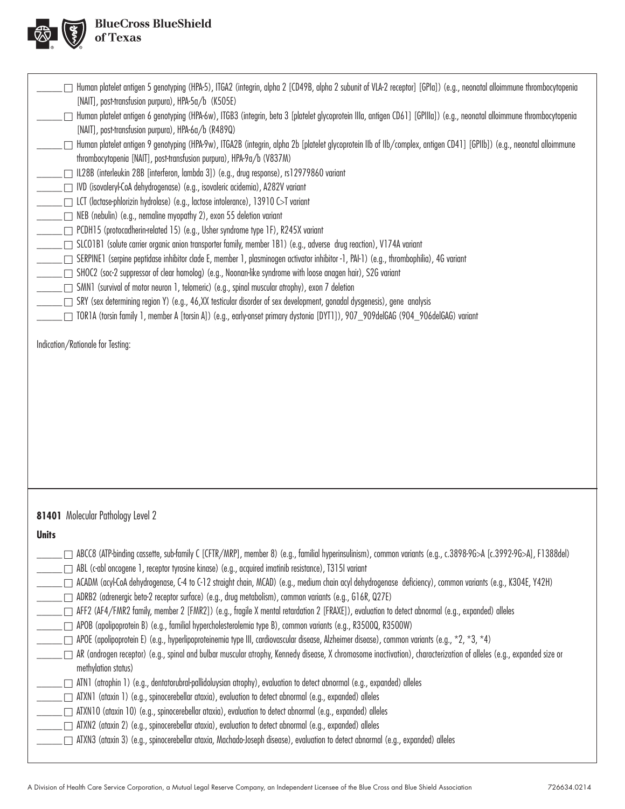

| Human platelet antigen 5 genotyping (HPA-5), ITGA2 (integrin, alpha 2 [CD49B, alpha 2 subunit of VLA-2 receptor] [GPIa]) (e.g., neonatal alloimmune thrombocytopenia<br>[NAIT], post-transfusion purpura), HPA-5a/b (K505E)<br>Human platelet antigen 6 genotyping (HPA-6w), ITGB3 (integrin, beta 3 [platelet glycoprotein Illa, antigen CD61] [GPIIIa]) (e.g., neonatal alloimmune thrombocytopenia<br>[NAIT], post-transfusion purpura), HPA-6a/b (R489Q)<br>_____ Human platelet antigen 9 genotyping (HPA-9w), ITGA2B (integrin, alpha 2b [platelet glycoprotein IIb of IIb/complex, antigen CD41] [GPIIb]) (e.g., neonatal alloimmune<br>thrombocytopenia [NAIT], post-transfusion purpura), HPA-9a/b (V837M)<br>  IL28B (interleukin 28B [interferon, lambda 3]) (e.g., drug response), rs12979860 variant<br>──── IVD (isovaleryl-CoA dehydrogenase) (e.g., isovaleric acidemia), A282V variant<br>______ □ LCT (lactase-phlorizin hydrolase) (e.g., lactose intolerance), 13910 C>T variant<br>NEB (nebulin) (e.g., nemaline myopathy 2), exon 55 deletion variant<br>□ PCDH15 (protocadherin-related 15) (e.g., Usher syndrome type 1F), R245X variant<br>SLCO1B1 (solute carrier organic anion transporter family, member 1B1) (e.g., adverse drug reaction), V174A variant<br>□ SERPINE1 (serpine peptidase inhibitor clade E, member 1, plasminogen activator inhibitor -1, PAI-1) (e.g., thrombophilia), 4G variant<br>SHOC2 (soc-2 suppressor of clear homolog) (e.g., Noonan-like syndrome with loose anagen hair), S2G variant<br>SMN1 (survival of motor neuron 1, telomeric) (e.g., spinal muscular atrophy), exon 7 deletion<br>□ SRY (sex determining region Y) (e.g., 46,XX testicular disorder of sex development, gonadal dysgenesis), gene analysis<br>TOR1A (torsin family 1, member A [torsin A]) (e.g., early-onset primary dystonia [DYT1]), 907_909deIGAG (904_906deIGAG) variant<br>Indication/Rationale for Testing: |  |
|------------------------------------------------------------------------------------------------------------------------------------------------------------------------------------------------------------------------------------------------------------------------------------------------------------------------------------------------------------------------------------------------------------------------------------------------------------------------------------------------------------------------------------------------------------------------------------------------------------------------------------------------------------------------------------------------------------------------------------------------------------------------------------------------------------------------------------------------------------------------------------------------------------------------------------------------------------------------------------------------------------------------------------------------------------------------------------------------------------------------------------------------------------------------------------------------------------------------------------------------------------------------------------------------------------------------------------------------------------------------------------------------------------------------------------------------------------------------------------------------------------------------------------------------------------------------------------------------------------------------------------------------------------------------------------------------------------------------------------------------------------------------------------------------------------------------------------------------------------------------------------------------------------------------------------------------------|--|
| 81401 Molecular Pathology Level 2<br><b>Units</b><br>ABCC8 (ATP-binding cassette, sub-family C [CFTR/MRP], member 8) (e.g., familial hyperinsulinism), common variants (e.g., c.3898-96>A [c.3992-96>A], F1388del)<br>ABL (c-abl oncogene 1, receptor tyrosine kinase) (e.g., acquired imatinib resistance), T315I variant<br>____ ACADM (acyl-CoA dehydrogenase, C-4 to C-12 straight chain, MCAD) (e.g., medium chain acyl dehydrogenase deficiency), common variants (e.g., K3O4E, Y42H)<br>ADRB2 (adrenergic beta-2 receptor surface) (e.g., drug metabolism), common variants (e.g., G16R, Q27E)<br>APOB (apolipoprotein B) (e.g., familial hypercholesterolemia type B), common variants (e.g., R3500Q, R3500W)<br>APOE (apolipoprotein E) (e.g., hyperlipoproteinemia type III, cardiovascular disease, Alzheimer disease), common variants (e.g., *2, *3, *4)                                                                                                                                                                                                                                                                                                                                                                                                                                                                                                                                                                                                                                                                                                                                                                                                                                                                                                                                                                                                                                                                                |  |
| □ AR (androgen receptor) (e.g., spinal and bulbar muscular atrophy, Kennedy disease, X chromosome inactivation), characterization of alleles (e.g., expanded size or<br>methylation status)<br>ATN1 (atrophin 1) (e.g., dentatorubral-pallidoluysian atrophy), evaluation to detect abnormal (e.g., expanded) alleles<br>______ _ ATXN1 (ataxin 1) (e.g., spinocerebellar ataxia), evaluation to detect abnormal (e.g., expanded) alleles<br>ATXN2 (ataxin 2) (e.g., spinocerebellar ataxia), evaluation to detect abnormal (e.g., expanded) alleles<br>$\overline{\phantom{a}}$ $\overline{\phantom{a}}$<br>□ ATXN3 (ataxin 3) (e.g., spinocerebellar ataxia, Machado-Joseph disease), evaluation to detect abnormal (e.g., expanded) alleles                                                                                                                                                                                                                                                                                                                                                                                                                                                                                                                                                                                                                                                                                                                                                                                                                                                                                                                                                                                                                                                                                                                                                                                                       |  |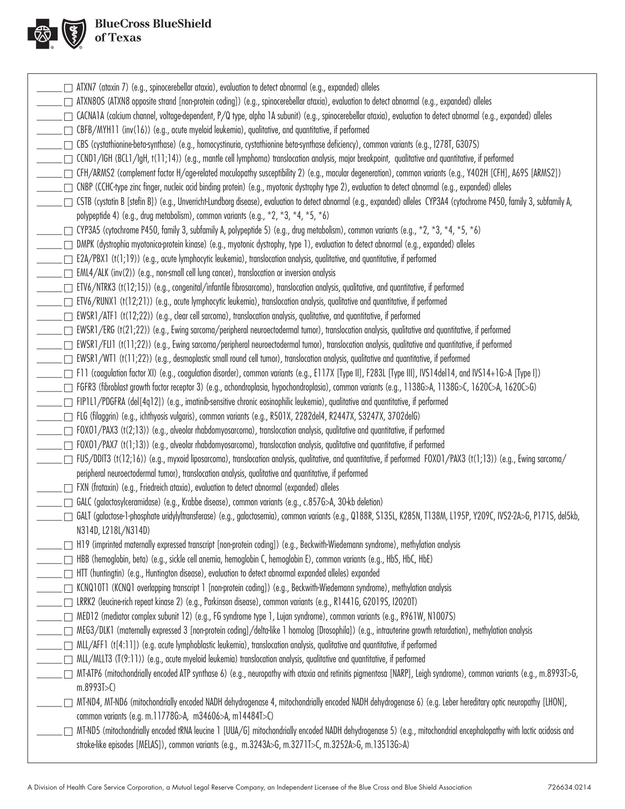

| $\Box$ ATXN7 (ataxin 7) (e.g., spinocerebellar ataxia), evaluation to detect abnormal (e.g., expanded) alleles                                                                                                                                                          |
|-------------------------------------------------------------------------------------------------------------------------------------------------------------------------------------------------------------------------------------------------------------------------|
| □ ATXN8OS (ATXN8 opposite strand [non-protein coding]) (e.g., spinocerebellar ataxia), evaluation to detect abnormal (e.g., expanded) alleles                                                                                                                           |
| □ CACNATA (calcium channel, voltage-dependent, P/Q type, alpha TA subunit) (e.g., spinocerebellar ataxia), evaluation to detect abnormal (e.g., expanded) alleles                                                                                                       |
| □ CBFB/MYH11 (inv(16)) (e.g., acute myeloid leukemia), qualitative, and quantitative, if performed                                                                                                                                                                      |
| □ CBS (cystathionine-beta-synthase) (e.g., homocystinuria, cystathionine beta-synthase deficiency), common variants (e.g., 1278T, G307S)                                                                                                                                |
| □ CCND1/IGH (BCL1/IgH, t(11;14)) (e.g., mantle cell lymphoma) translocation analysis, major breakpoint, qualitative and quantitative, if performed                                                                                                                      |
| □ CFH/ARMS2 (complement factor H/age-related maculopathy susceptibility 2) (e.g., macular degeneration), common variants (e.g., Y402H [CFH], A69S [ARMS2])                                                                                                              |
| □ CNBP (CCHC-type zinc finger, nucleic acid binding protein) (e.g., myotonic dystrophy type 2), evaluation to detect abnormal (e.g., expanded) alleles                                                                                                                  |
| CSTB (cystatin B [stefin B]) (e.g., Unverricht-Lundborg disease), evaluation to detect abnormal (e.g., expanded) alleles CYP3A4 (cytochrome P450, family 3, subfamily A,                                                                                                |
| polypeptide 4) (e.g., drug metabolism), common variants (e.g., $*2$ , $*3$ , $*4$ , $*5$ , $*6$ )                                                                                                                                                                       |
| CYP3A5 (cytochrome P450, family 3, subfamily A, polypeptide 5) (e.g., drug metabolism), common variants (e.g., *2, *3, *4, *5, *6)                                                                                                                                      |
| □ DMPK (dystrophia myotonica-protein kinase) (e.g., myotonic dystrophy, type 1), evaluation to detect abnormal (e.g., expanded) alleles                                                                                                                                 |
| □ E2A/PBX1 (t(1;19)) (e.g., acute lymphocytic leukemia), translocation analysis, qualitative, and quantitative, if performed                                                                                                                                            |
| $\Box$ EML4/ALK (inv(2)) (e.g., non-small cell lung cancer), translocation or inversion analysis                                                                                                                                                                        |
| [1] ETV6/NTRK3 (t(12;15)) (e.g., congenital/infantile fibrosarcoma), translocation analysis, qualitative, and quantitative, if performed                                                                                                                                |
| ETV6/RUNX1 (t(12;21)) (e.g., acute lymphocytic leukemia), translocation analysis, qualitative and quantitative, if performed                                                                                                                                            |
| EWSR1/ATF1 (t(12;22)) (e.g., clear cell sarcoma), translocation analysis, qualitative, and quantitative, if performed                                                                                                                                                   |
| ∟□ EWSR1/ERG (t(21;22)) (e.g., Ewing sarcoma/peripheral neuroectodermal tumor), translocation analysis, qualitative and quantitative, if performed                                                                                                                      |
| □ EWSR1/FLI1 (t(11;22)) (e.g., Ewing sarcoma/peripheral neuroectodermal tumor), translocation analysis, qualitative and quantitative, if performed                                                                                                                      |
| $\Box$ EWSR1/WT1 (t(11;22)) (e.g., desmoplastic small round cell tumor), translocation analysis, qualitative and quantitative, if performed                                                                                                                             |
| [T F11 (coagulation factor XI) (e.g., coagulation disorder), common variants (e.g., E117X [Type II], F283L [Type III], IVS14del14, and IVS14+1G>A [Type II]                                                                                                             |
| FGFR3 (fibroblast growth factor receptor 3) (e.g., achondroplasia, hypochondroplasia), common variants (e.g., 11386>A, 11386>C, 1620C>A, 1620C>G)                                                                                                                       |
| FIP1L1/PDGFRA (del[4q12]) (e.g., imatinib-sensitive chronic eosinophilic leukemia), qualitative and quantitative, if performed                                                                                                                                          |
| □ FLG (filaggrin) (e.g., ichthyosis vulgaris), common variants (e.g., R501X, 2282del4, R2447X, S3247X, 3702delG)                                                                                                                                                        |
| □ FOXO1/PAX3 (t(2;13)) (e.g., alveolar rhabdomyosarcoma), translocation analysis, qualitative and quantitative, if performed                                                                                                                                            |
| $\Box$ FOXO1/PAX7 (t(1;13)) (e.g., alveolar rhabdomyosarcoma), translocation analysis, qualitative and quantitative, if performed                                                                                                                                       |
| /FUS/DDIT3 (t(12;16)) (e.g., myxoid liposarcoma), translocation analysis, qualitative, and quantitative, if performed FOXO1/PAX3 (t(1;13)) (e.g., Ewing sarcoma [                                                                                                       |
| peripheral neuroectodermal tumor), translocation analysis, qualitative and quantitative, if performed                                                                                                                                                                   |
| □ FXN (frataxin) (e.g., Friedreich ataxia), evaluation to detect abnormal (expanded) alleles                                                                                                                                                                            |
| GALC (galactosylceramidase) (e.g., Krabbe disease), common variants (e.g., c.857G>A, 30-kb deletion)                                                                                                                                                                    |
| GALT (galactose-1-phosphate uridylyltransferase) (e.g., galactosemia), common variants (e.g., Q188R, S135L, K285N, T138M, L195P, Y209C, IVS2-2A>G, P171S, del5kb,<br>N314D, L218L/N314D)                                                                                |
| □ H19 (imprinted maternally expressed transcript [non-protein coding]) (e.g., Beckwith-Wiedemann syndrome), methylation analysis                                                                                                                                        |
| HBB (hemoglobin, beta) (e.g., sickle cell anemia, hemoglobin C, hemoglobin E), common variants (e.g., HbS, HbC, HbE)                                                                                                                                                    |
| HTT (huntingtin) (e.g., Huntington disease), evaluation to detect abnormal expanded alleles) expanded                                                                                                                                                                   |
| □ KCNQ10T1 (KCNQ1 overlapping transcript 1 [non-protein coding]) (e.g., Beckwith-Wiedemann syndrome), methylation analysis                                                                                                                                              |
| □ LRRK2 (leucine-rich repeat kinase 2) (e.g., Parkinson disease), common variants (e.g., R1441G, G2019S, I2020T)                                                                                                                                                        |
| □ MED12 (mediator complex subunit 12) (e.g., FG syndrome type 1, Lujan syndrome), common variants (e.g., R961W, N1007S)                                                                                                                                                 |
| □ MEG3/DLK1 (maternally expressed 3 [non-protein coding]/delta-like 1 homolog [Drosophila]) (e.g., intrauterine growth retardation), methylation analysis                                                                                                               |
| $\Box$ MLL/AFF1 (t[4:11]) (e.g. acute lymphoblastic leukemia), translocation analysis, qualitative and quantitative, if performed                                                                                                                                       |
| $\Box$ MLL/MLLT3 (T(9:11)) (e.g., acute myeloid leukemia) translocation analysis, qualitative and quantitative, if performed                                                                                                                                            |
| MT-ATP6 (mitochondrially encoded ATP synthase 6) (e.g., neuropathy with ataxia and retinitis pigmentosa [NARP], Leigh syndrome), common variants (e.g., m.8993T>G,                                                                                                      |
| m.8993J > C                                                                                                                                                                                                                                                             |
| MT-ND4, MT-ND6 (mitochondrially encoded NADH dehydrogenase 4, mitochondrially encoded NADH dehydrogenase 6) (e.g. Leber hereditary optic neuropathy [LHON],                                                                                                             |
| common variants (e.g. m.11778G>A, m34606>A, m14484T>C)                                                                                                                                                                                                                  |
| MT-ND5 (mitochondrially encoded tRNA leucine 1 [UUA/G] mitochondrially encoded NADH dehydrogenase 5) (e.g., mitochondrial encephalopathy with lactic acidosis and<br>stroke-like episodes [MELAS]), common variants (e.g., m.3243A>G, m.3271T>C, m.3252A>G, m.13513G>A) |
|                                                                                                                                                                                                                                                                         |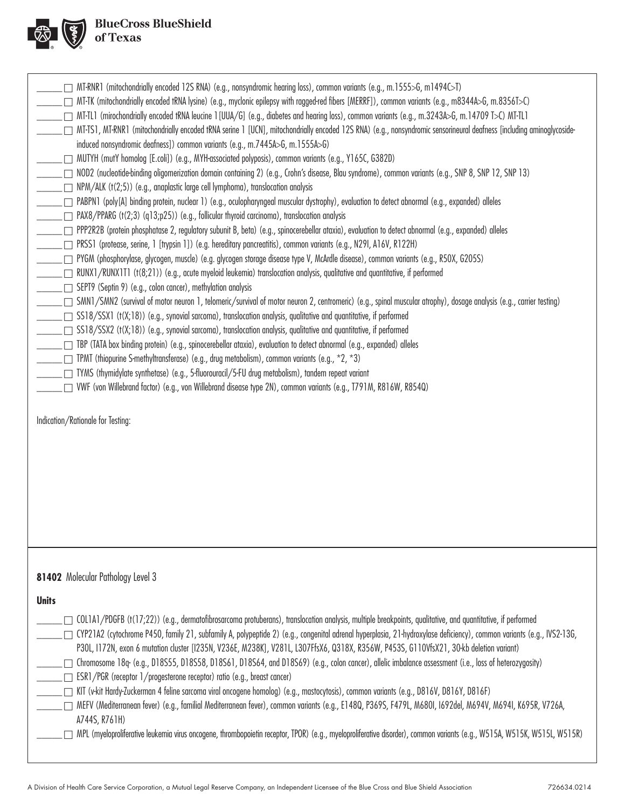

|              | MT-RNR1 (mitochondrially encoded 12S RNA) (e.g., nonsyndromic hearing loss), common variants (e.g., m.1555>G, m1494C>T)                                                                                                                                                                                                              |
|--------------|--------------------------------------------------------------------------------------------------------------------------------------------------------------------------------------------------------------------------------------------------------------------------------------------------------------------------------------|
|              | ______ MT-TK (mitochondrially encoded tRNA lysine) (e.g., myclonic epilepsy with ragged-red fibers [MERRF]), common variants (e.g., m8344A>G, m.8356T>C)                                                                                                                                                                             |
|              | _____ ™T-TL1 (mirochondrially encoded tRNA leucine 1 [UUA/G] (e.g., diabetes and hearing loss), common variants (e.g., m.3243A>G, m.14709 T>C) MT-TL1                                                                                                                                                                                |
|              | □ MT-TS1, MT-RNR1 (mitochondrially encoded tRNA serine 1 [UCN], mitochondrially encoded 12S RNA) (e.g., nonsyndromic sensorineural deafness [including aminoglycoside-                                                                                                                                                               |
|              | induced nonsyndromic deafness]) common variants (e.g., m.7445A>G, m.1555A>G)                                                                                                                                                                                                                                                         |
|              | ___ ┌┐ MUTYH (mutY homolog [E.coli]) (e.g., MYH-associated polyposis), common variants (e.g., Y165C, G382D)                                                                                                                                                                                                                          |
|              | NOD2 (nucleotide-binding oligomerization domain containing 2) (e.g., Crohn's disease, Blau syndrome), common variants (e.g., SNP 8, SNP 12, SNP 13)                                                                                                                                                                                  |
|              | NPM/ALK (t(2;5)) (e.g., anaplastic large cell lymphoma), translocation analysis                                                                                                                                                                                                                                                      |
|              | _____ □ PABPN1 (poly[A] binding protein, nuclear 1) (e.g., oculopharyngeal muscular dystrophy), evaluation to detect abnormal (e.g., expanded) alleles                                                                                                                                                                               |
|              | □ PAX8/PPARG (t(2;3) (q13;p25)) (e.g., follicular thyroid carcinoma), translocation analysis                                                                                                                                                                                                                                         |
|              | □ PPP2R2B (protein phosphatase 2, regulatory subunit B, beta) (e.g., spinocerebellar ataxia), evaluation to detect abnormal (e.g., expanded) alleles                                                                                                                                                                                 |
|              | _____ □ PRSS1 (protease, serine, 1 [trypsin 1]) (e.g. hereditary pancreatitis), common variants (e.g., N291, A16V, R122H)                                                                                                                                                                                                            |
|              | <u>__</u> ___ PYGM (phosphorylase, glycogen, muscle) (e.g. glycogen storage disease type V, McArdle disease), common variants (e.g., R50X, G205S)                                                                                                                                                                                    |
|              | RUNX1/RUNX1T1 (t(8;21)) (e.g., acute myeloid leukemia) translocation analysis, qualitative and quantitative, if performed                                                                                                                                                                                                            |
|              | SEPT9 (Septin 9) (e.g., colon cancer), methylation analysis                                                                                                                                                                                                                                                                          |
|              | _____ SMN1/SMN2 (survival of motor neuron 1, telomeric/survival of motor neuron 2, centromeric) (e.g., spinal muscular atrophy), dosage analysis (e.g., carrier testing)<br><u>__</u> ___ SS18/SSX1 (t(X;18)) (e.g., synovial sarcoma), translocation analysis, qualitative and quantitative, if performed                           |
|              | SS18/SSX2 (t(X;18)) (e.g., synovial sarcoma), translocation analysis, qualitative and quantitative, if performed                                                                                                                                                                                                                     |
|              | □ TBP (TATA box binding protein) (e.g., spinocerebellar ataxia), evaluation to detect abnormal (e.g., expanded) alleles                                                                                                                                                                                                              |
|              | <b>TPMT</b> (thiopurine S-methyltransferase) (e.g., drug metabolism), common variants (e.g., $*2, *3$ )                                                                                                                                                                                                                              |
|              | _ □ TYMS (thymidylate synthetase) (e.g., 5-fluorouracil/5-FU drug metabolism), tandem repeat variant                                                                                                                                                                                                                                 |
|              | □ VWF (von Willebrand factor) (e.g., von Willebrand disease type 2N), common variants (e.g., T791M, R816W, R854Q)                                                                                                                                                                                                                    |
|              |                                                                                                                                                                                                                                                                                                                                      |
|              | Indication/Rationale for Testing:                                                                                                                                                                                                                                                                                                    |
|              |                                                                                                                                                                                                                                                                                                                                      |
|              |                                                                                                                                                                                                                                                                                                                                      |
|              |                                                                                                                                                                                                                                                                                                                                      |
|              |                                                                                                                                                                                                                                                                                                                                      |
|              |                                                                                                                                                                                                                                                                                                                                      |
|              |                                                                                                                                                                                                                                                                                                                                      |
|              |                                                                                                                                                                                                                                                                                                                                      |
|              |                                                                                                                                                                                                                                                                                                                                      |
|              |                                                                                                                                                                                                                                                                                                                                      |
|              |                                                                                                                                                                                                                                                                                                                                      |
|              |                                                                                                                                                                                                                                                                                                                                      |
|              | 81402 Molecular Pathology Level 3                                                                                                                                                                                                                                                                                                    |
| <b>Units</b> |                                                                                                                                                                                                                                                                                                                                      |
|              |                                                                                                                                                                                                                                                                                                                                      |
|              | COL1A1/PDGFB (t(17;22)) (e.g., dermatofibrosarcoma protuberans), translocation analysis, multiple breakpoints, qualitative, and quantitative, if performed<br>□ CYP21A2 (cytochrome P450, family 21, subfamily A, polypeptide 2) (e.g., congenital adrenal hyperplasia, 21-hydroxylase deficiency), common variants (e.g., IVS2-136, |
|              | P30L, I172N, exon 6 mutation cluster [I235N, V236E, M238K], V281L, L307FfsX6, Q318X, R356W, P453S, G110VfsX21, 30-kb deletion variant)                                                                                                                                                                                               |
|              | Chromosome 18q− (e.g., D18S55, D18S58, D18S61, D18S64, and D18S69) (e.g., colon cancer), allelic imbalance assessment (i.e., loss of heterozygosity)                                                                                                                                                                                 |
|              | ESR1/PGR (receptor 1/progesterone receptor) ratio (e.g., breast cancer)                                                                                                                                                                                                                                                              |
|              | [6816Y, D816Y, D816Y, D816Y, D816Y, D816Y, D816F) KIT (v-kit Hardy-Zuckerman 4 feline sarcoma viral oncogene homolog) (e.g., mastocytosis), common variants (e.g., D816Y, D816Y, D816F)                                                                                                                                              |
|              | □ MEFV (Mediterranean fever) (e.g., familial Mediterranean fever), common variants (e.g., E148Q, P369S, F479L, M68OI, I692del, M694V, M694I, K695R, V726A,                                                                                                                                                                           |
|              | A744S, R761H)                                                                                                                                                                                                                                                                                                                        |
|              | ∩ MPL (myeloproliferative leukemia virus oncogene, thrombopoietin receptor, TPOR) (e.g., myeloproliferative disorder), common variants (e.g., W515A, W515K, W515L, W515R)                                                                                                                                                            |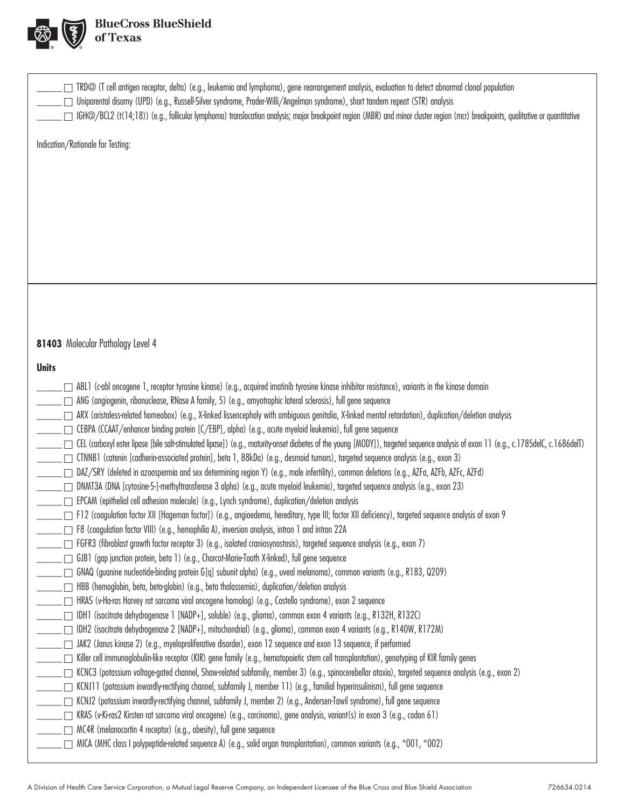

| $\Box$ TRD@ (T cell antigen receptor, delta) (e.g., leukemia and lymphoma), gene rearrangement analysis, evaluation to detect abnormal clonal population<br>Uniparental disomy (UPD) (e.g., Russell-Silver syndrome, Prader-Willi/Angelman syndrome), short tandem repeat (STR) analysis<br>□ IGH@/BCL2 (t(14;18)) (e.g., follicular lymphoma) translocation analysis; major breakpoint region (MBR) and minor cluster region (mcr) breakpoints, qualitative or quantitative |
|------------------------------------------------------------------------------------------------------------------------------------------------------------------------------------------------------------------------------------------------------------------------------------------------------------------------------------------------------------------------------------------------------------------------------------------------------------------------------|
| Indication/Rationale for Testing:                                                                                                                                                                                                                                                                                                                                                                                                                                            |
|                                                                                                                                                                                                                                                                                                                                                                                                                                                                              |
|                                                                                                                                                                                                                                                                                                                                                                                                                                                                              |
|                                                                                                                                                                                                                                                                                                                                                                                                                                                                              |
|                                                                                                                                                                                                                                                                                                                                                                                                                                                                              |
|                                                                                                                                                                                                                                                                                                                                                                                                                                                                              |
|                                                                                                                                                                                                                                                                                                                                                                                                                                                                              |
|                                                                                                                                                                                                                                                                                                                                                                                                                                                                              |
|                                                                                                                                                                                                                                                                                                                                                                                                                                                                              |
|                                                                                                                                                                                                                                                                                                                                                                                                                                                                              |
| 81403 Molecular Pathology Level 4                                                                                                                                                                                                                                                                                                                                                                                                                                            |
| <b>Units</b>                                                                                                                                                                                                                                                                                                                                                                                                                                                                 |
| ABL1 (c-abl oncogene 1, receptor tyrosine kinase) (e.g., acquired imatinib tyrosine kinase inhibitor resistance), variants in the kinase domain<br>_ ┌ ANG (angiogenin, ribonuclease, RNase A family, 5) (e.g., amyotrophic lateral sclerosis), full gene sequence                                                                                                                                                                                                           |
| _____ ∩ ARX (aristaless-related homeobox) (e.g., X-linked lissencephaly with ambiguous genitalia, X-linked mental retardation), duplication/deletion analysis                                                                                                                                                                                                                                                                                                                |
|                                                                                                                                                                                                                                                                                                                                                                                                                                                                              |
| _____ CEL (carboxyl ester lipase [bile salt-stimulated lipase]) (e.g., maturity-onset diabetes of the young [MODY]), targeted sequence analysis of exon 11 (e.g., c.1785delC, c.1686delT)                                                                                                                                                                                                                                                                                    |
| CTNNB1 (catenin [cadherin-associated protein], beta 1, 88kDa) (e.g., desmoid tumors), targeted sequence analysis (e.g., exon 3)                                                                                                                                                                                                                                                                                                                                              |
| DAZ/SRY (deleted in azoospermia and sex determining region Y) (e.g., male infertility), common deletions (e.g., AZFa, AZFb, AZFc, AZFd)                                                                                                                                                                                                                                                                                                                                      |
| _____ _ DNMT3A (DNA [cytosine-5-]-methyltransferase 3 alpha) (e.g., acute myeloid leukemia), targeted sequence analysis (e.g., exon 23)                                                                                                                                                                                                                                                                                                                                      |
| F12 (coagulation factor XII [Hageman factor]) (e.g., angioedema, hereditary, type III; factor XII deficiency), targeted sequence analysis of exon 9                                                                                                                                                                                                                                                                                                                          |
| □ F8 (coagulation factor VIII) (e.g., hemophilia A), inversion analysis, intron 1 and intron 22A                                                                                                                                                                                                                                                                                                                                                                             |
| FGFR3 (fibroblast growth factor receptor 3) (e.g., isolated craniosynostosis), targeted sequence analysis (e.g., exon 7)                                                                                                                                                                                                                                                                                                                                                     |
| _ □ GJB1 (gap junction protein, beta 1) (e.g., Charcot-Marie-Tooth X-linked), full gene sequence                                                                                                                                                                                                                                                                                                                                                                             |
| GNAQ (guanine nucleotide-binding protein G[q] subunit alpha) (e.g., uveal melanoma), common variants (e.g., R183, Q209)                                                                                                                                                                                                                                                                                                                                                      |
| HBB (hemoglobin, beta, beta-globin) (e.g., beta thalassemia), duplication/deletion analysis<br>HRAS (v-Ha-ras Harvey rat sarcoma viral oncogene homolog) (e.g., Costello syndrome), exon 2 sequence [                                                                                                                                                                                                                                                                        |
| _   IDH1 (isocitrate dehydrogenase 1 [NADP+], soluble) (e.g., glioma), common exon 4 variants (e.g., R132H, R132C)                                                                                                                                                                                                                                                                                                                                                           |
| _   IDH2 (isocitrate dehydrogenase 2 [NADP+], mitochondrial) (e.g., glioma), common exon 4 variants (e.g., R140W, R172M)                                                                                                                                                                                                                                                                                                                                                     |
| _____ _ ]] JAK2 (Janus kinase 2) (e.g., myeloproliferative disorder), exon 12 sequence and exon 13 sequence, if performed                                                                                                                                                                                                                                                                                                                                                    |
| [crowsplantation), genotyping of KIR family (e.g., hetal oppietic stem cell transplantation), genotyping of KIR family genes [[crowsplantation] [crowsplantation] [crowsplantation] [crowsplantation] [crowsplantation] [crow                                                                                                                                                                                                                                                |
| KCNC3 (potassium voltage-gated channel, Shaw-related subfamily, member 3) (e.g., spinocerebellar ataxia), targeted sequence analysis (e.g., exon 2)                                                                                                                                                                                                                                                                                                                          |
| . ┌─ KCNJ11 (potassium inwardly-rectifying channel, subfamily J, member 11) (e.g., familial hyperinsulinism), full gene sequence<br>$\Box$ KCNJ2 (potassium inwardly-rectifying channel, subfamily J, member 2) (e.g., Andersen-Tawil syndrome), full gene sequence                                                                                                                                                                                                          |
| KRAS (v-Ki-ras2 Kirsten rat sarcoma viral oncogene) (e.g., carcinoma), gene analysis, variant(s) in exon 3 (e.g., codon 61)                                                                                                                                                                                                                                                                                                                                                  |
| $\Box$ MC4R (melanocortin 4 receptor) (e.g., obesity), full gene sequence                                                                                                                                                                                                                                                                                                                                                                                                    |
| MICA (MHC class I polypeptide-related sequence A) (e.g., solid organ transplantation), common variants (e.g., *001, *002)                                                                                                                                                                                                                                                                                                                                                    |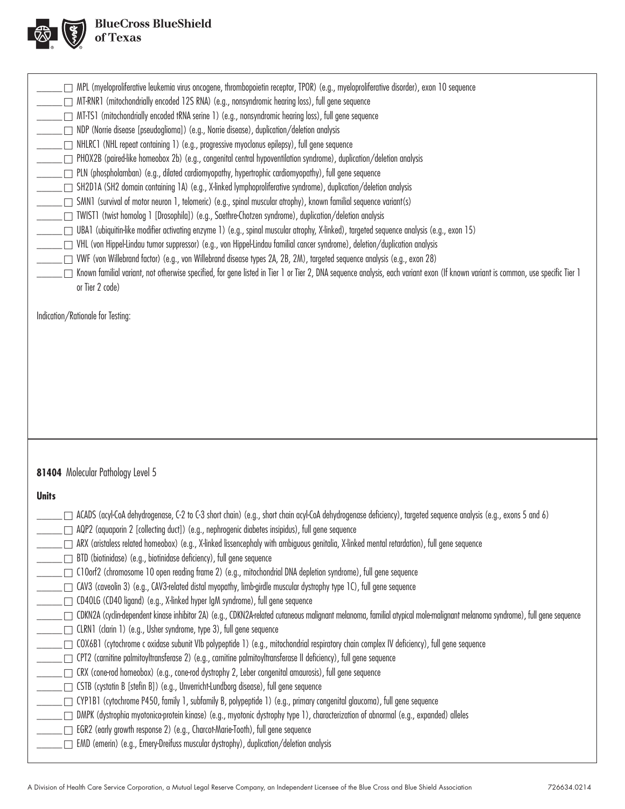

| MPL (myeloproliferative leukemia virus oncogene, thrombopoietin receptor, TPOR) (e.g., myeloproliferative disorder), exon 10 sequence<br>□ MT-RNR1 (mitochondrially encoded 12S RNA) (e.g., nonsyndromic hearing loss), full gene sequence<br>□ MT-TS1 (mitochondrially encoded tRNA serine 1) (e.g., nonsyndromic hearing loss), full gene sequence<br>NDP (Norrie disease [pseudoglioma]) (e.g., Norrie disease), duplication/deletion analysis<br>NHLRC1 (NHL repeat containing 1) (e.g., progressive myoclonus epilepsy), full gene sequence<br>PHOX2B (paired-like homeobox 2b) (e.g., congenital central hypoventilation syndrome), duplication/deletion analysis<br>$\Box$ PLN (phospholamban) (e.g., dilated cardiomyopathy, hypertrophic cardiomyopathy), full gene sequence<br>□ SH2D1A (SH2 domain containing 1A) (e.g., X-linked lymphoproliferative syndrome), duplication/deletion analysis<br>[7] SMN1 (survival of motor neuron 1, telomeric) (e.g., spinal muscular atrophy), known familial sequence variant(s)<br>□ TWIST1 (twist homolog 1 [Drosophila]) (e.g., Saethre-Chotzen syndrome), duplication/deletion analysis<br>□ UBA1 (ubiquitin-like modifier activating enzyme 1) (e.g., spinal muscular atrophy, X-linked), targeted sequence analysis (e.g., exon 15)<br>□ VHL (von Hippel-Lindau tumor suppressor) (e.g., von Hippel-Lindau familial cancer syndrome), deletion/duplication analysis<br>∑ VWF (von Willebrand factor) (e.g., von Willebrand disease types 2A, 2B, 2M), targeted sequence analysis (e.g., exon 28)<br>Known familial variant, not otherwise specified, for gene listed in Tier 1 or Tier 2, DNA sequence analysis, each variant exon (If known variant is common, use specific Tier 1<br>or Tier 2 code) |
|---------------------------------------------------------------------------------------------------------------------------------------------------------------------------------------------------------------------------------------------------------------------------------------------------------------------------------------------------------------------------------------------------------------------------------------------------------------------------------------------------------------------------------------------------------------------------------------------------------------------------------------------------------------------------------------------------------------------------------------------------------------------------------------------------------------------------------------------------------------------------------------------------------------------------------------------------------------------------------------------------------------------------------------------------------------------------------------------------------------------------------------------------------------------------------------------------------------------------------------------------------------------------------------------------------------------------------------------------------------------------------------------------------------------------------------------------------------------------------------------------------------------------------------------------------------------------------------------------------------------------------------------------------------------------------------------------------------------------------------------------------------|
| Indication/Rationale for Testing:                                                                                                                                                                                                                                                                                                                                                                                                                                                                                                                                                                                                                                                                                                                                                                                                                                                                                                                                                                                                                                                                                                                                                                                                                                                                                                                                                                                                                                                                                                                                                                                                                                                                                                                             |
|                                                                                                                                                                                                                                                                                                                                                                                                                                                                                                                                                                                                                                                                                                                                                                                                                                                                                                                                                                                                                                                                                                                                                                                                                                                                                                                                                                                                                                                                                                                                                                                                                                                                                                                                                               |
|                                                                                                                                                                                                                                                                                                                                                                                                                                                                                                                                                                                                                                                                                                                                                                                                                                                                                                                                                                                                                                                                                                                                                                                                                                                                                                                                                                                                                                                                                                                                                                                                                                                                                                                                                               |
| 81404 Molecular Pathology Level 5<br><b>Units</b>                                                                                                                                                                                                                                                                                                                                                                                                                                                                                                                                                                                                                                                                                                                                                                                                                                                                                                                                                                                                                                                                                                                                                                                                                                                                                                                                                                                                                                                                                                                                                                                                                                                                                                             |
|                                                                                                                                                                                                                                                                                                                                                                                                                                                                                                                                                                                                                                                                                                                                                                                                                                                                                                                                                                                                                                                                                                                                                                                                                                                                                                                                                                                                                                                                                                                                                                                                                                                                                                                                                               |
| ACADS (acyl-CoA dehydrogenase, C-2 to C-3 short chain) (e.g., short chain acyl-CoA dehydrogenase deficiency), targeted sequence analysis (e.g., exons 5 and 6)<br>$\_\Box$ AQP2 (aquaporin 2 [collecting duct]) (e.g., nephrogenic diabetes insipidus), full gene sequence<br>____ □ ARX (aristaless related homeobox) (e.g., X-linked lissencephaly with ambiguous genitalia, X-linked mental retardation), full gene sequence                                                                                                                                                                                                                                                                                                                                                                                                                                                                                                                                                                                                                                                                                                                                                                                                                                                                                                                                                                                                                                                                                                                                                                                                                                                                                                                               |
| □ BTD (biotinidase) (e.g., biotinidase deficiency), full gene sequence                                                                                                                                                                                                                                                                                                                                                                                                                                                                                                                                                                                                                                                                                                                                                                                                                                                                                                                                                                                                                                                                                                                                                                                                                                                                                                                                                                                                                                                                                                                                                                                                                                                                                        |
| ◯◯ C10orf2 (chromosome 10 open reading frame 2) (e.g., mitochondrial DNA depletion syndrome), full gene sequence<br>CAV3 (caveolin 3) (e.g., CAV3-related distal myopathy, limb-girdle muscular dystrophy type 1C), full gene sequence                                                                                                                                                                                                                                                                                                                                                                                                                                                                                                                                                                                                                                                                                                                                                                                                                                                                                                                                                                                                                                                                                                                                                                                                                                                                                                                                                                                                                                                                                                                        |
| _ ┌ CD4OLG (CD4O ligand) (e.g., X-linked hyper IgM syndrome), full gene sequence                                                                                                                                                                                                                                                                                                                                                                                                                                                                                                                                                                                                                                                                                                                                                                                                                                                                                                                                                                                                                                                                                                                                                                                                                                                                                                                                                                                                                                                                                                                                                                                                                                                                              |
| CDKN2A (cyclin-dependent kinase inhibitor 2A) (e.g., CDKN2A-related cutaneous malignant melanoma, familial atypical mole-malignant melanoma syndrome), full gene sequence<br>_ □ CLRN1 (clarin 1) (e.g., Usher syndrome, type 3), full gene sequence                                                                                                                                                                                                                                                                                                                                                                                                                                                                                                                                                                                                                                                                                                                                                                                                                                                                                                                                                                                                                                                                                                                                                                                                                                                                                                                                                                                                                                                                                                          |
| _ COX6B1 (cytochrome c oxidase subunit VIb polypeptide 1) (e.g., mitochondrial respiratory chain complex IV deficiency), full gene sequence                                                                                                                                                                                                                                                                                                                                                                                                                                                                                                                                                                                                                                                                                                                                                                                                                                                                                                                                                                                                                                                                                                                                                                                                                                                                                                                                                                                                                                                                                                                                                                                                                   |
| CPT2 (carnitine palmitoyltransferase 2) (e.g., carnitine palmitoyltransferase II deficiency), full gene sequence                                                                                                                                                                                                                                                                                                                                                                                                                                                                                                                                                                                                                                                                                                                                                                                                                                                                                                                                                                                                                                                                                                                                                                                                                                                                                                                                                                                                                                                                                                                                                                                                                                              |
| CRX (cone-rod homeobox) (e.g., cone-rod dystrophy 2, Leber congenital amaurosis), full gene sequence<br>_ □ CSTB (cystatin B [stefin B]) (e.g., Unverricht-Lundborg disease), full gene sequence                                                                                                                                                                                                                                                                                                                                                                                                                                                                                                                                                                                                                                                                                                                                                                                                                                                                                                                                                                                                                                                                                                                                                                                                                                                                                                                                                                                                                                                                                                                                                              |
| ______ [ CYP1B1 (cytochrome P450, family 1, subfamily B, polypeptide 1) (e.g., primary congenital glaucoma), full gene sequence                                                                                                                                                                                                                                                                                                                                                                                                                                                                                                                                                                                                                                                                                                                                                                                                                                                                                                                                                                                                                                                                                                                                                                                                                                                                                                                                                                                                                                                                                                                                                                                                                               |
| _ _ _ DMPK (dystrophia myotonica-protein kinase) (e.g., myotonic dystrophy type 1), characterization of abnormal (e.g., expanded) alleles<br>_____ __ EGR2 (early growth response 2) (e.g., Charcot-Marie-Tooth), full gene sequence                                                                                                                                                                                                                                                                                                                                                                                                                                                                                                                                                                                                                                                                                                                                                                                                                                                                                                                                                                                                                                                                                                                                                                                                                                                                                                                                                                                                                                                                                                                          |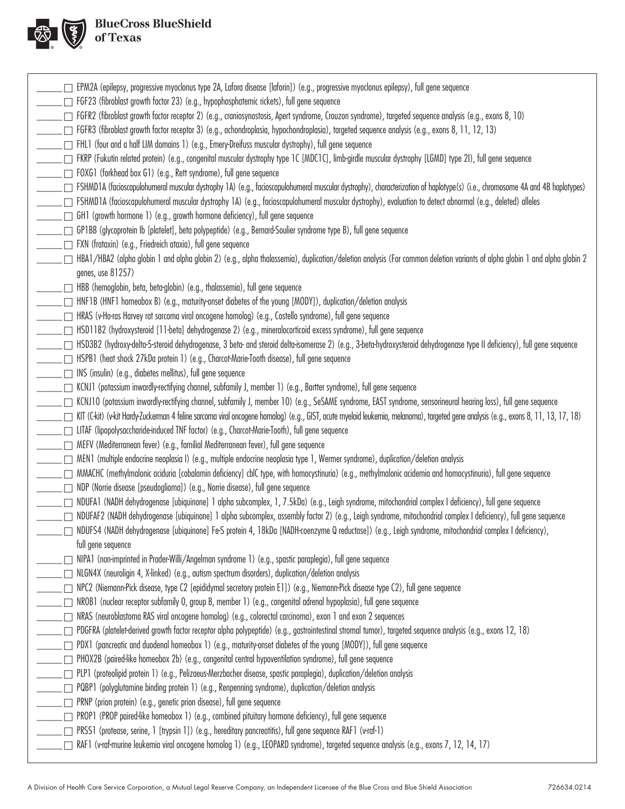

| □ EPM2A (epilepsy, progressive myoclonus type 2A, Lafora disease [laforin]) (e.g., progressive myoclonus epilepsy), full gene sequence                                                                                                    |
|-------------------------------------------------------------------------------------------------------------------------------------------------------------------------------------------------------------------------------------------|
| $\Box$ FGF23 (fibroblast growth factor 23) (e.g., hypophosphatemic rickets), full gene sequence                                                                                                                                           |
| □ FGFR2 (fibroblast growth factor receptor 2) (e.g., craniosynostosis, Apert syndrome, Crouzon syndrome), targeted sequence analysis (e.g., exons 8, 10)                                                                                  |
| $\Box$ FGFR3 (fibroblast growth factor receptor 3) (e.g., achondroplasia, hypochondroplasia), targeted sequence analysis (e.g., exons 8, 11, 12, 13)                                                                                      |
| $\Box$ FHL1 (four and a half LIM domains 1) (e.g., Emery-Dreifuss muscular dystrophy), full gene sequence                                                                                                                                 |
| □ FKRP (Fukutin related protein) (e.g., congenital muscular dystrophy type 1C [MDC1C], limb-girdle muscular dystrophy [LGMD] type 21), full gene sequence                                                                                 |
| □ FOXG1 (forkhead box G1) (e.g., Rett syndrome), full gene sequence                                                                                                                                                                       |
| □ FSHMD1A (facioscapulohumeral muscular dystrophy 1A) (e.g., facioscapulohumeral muscular dystrophy), characterization of haplotype(s) (i.e., chromosome 4A and 4B haplotypes)                                                            |
| □ FSHMD1A (facioscapulohumeral muscular dystrophy 1A) (e.g., facioscapulohumeral muscular dystrophy), evaluation to detect abnormal (e.g., deleted) alleles                                                                               |
| $\Box$ GH1 (growth hormone 1) (e.g., growth hormone deficiency), full gene sequence                                                                                                                                                       |
| □ GP1BB (glycoprotein lb [platelet], beta polypeptide) (e.g., Bernard-Soulier syndrome type B), full gene sequence                                                                                                                        |
| _ □ FXN (frataxin) (e.g., Friedreich ataxia), full gene sequence                                                                                                                                                                          |
| HBA1/HBA2 (alpha globin 1 and alpha globin 2) (e.g., alpha thalassemia), duplication/deletion analysis (For common deletion variants of alpha globin 1 and alpha globin 2<br>genes, use 81257)                                            |
| $\Box$ HBB (hemoglobin, beta, beta-globin) (e.g., thalassemia), full gene sequence                                                                                                                                                        |
| HNF1B (HNF1 homeobox B) (e.g., maturity-onset diabetes of the young [MODY]), duplication/deletion analysis                                                                                                                                |
| HRAS (v-Ha-ras Harvey rat sarcoma viral oncogene homolog) (e.g., Costello syndrome), full gene sequence                                                                                                                                   |
| . □ HSD11B2 (hydroxysteroid [11-beta] dehydrogenase 2) (e.g., mineralocorticoid excess syndrome), full gene sequence                                                                                                                      |
| □ HSD3B2 (hydroxy-delta-5-steroid dehydrogenase, 3 beta- and steroid delta-isomerase 2) (e.g., 3-beta-hydroxysteroid dehydrogenase type II deficiency), full gene sequence                                                                |
| HSPB1 (heat shock 27kDa protein 1) (e.g., Charcot-Marie-Tooth disease), full gene sequence                                                                                                                                                |
| $\Box$ INS (insulin) (e.g., diabetes mellitus), full gene sequence                                                                                                                                                                        |
| $\Box$ KCNJ1 (potassium inwardly-rectifying channel, subfamily J, member 1) (e.g., Bartter syndrome), full gene sequence                                                                                                                  |
| □ KCNJ10 (potassium inwardly-rectifying channel, subfamily J, member 10) (e.g., SeSAME syndrome, EAST syndrome, sensorineural hearing loss), full gene sequence                                                                           |
| KIT (Ckit) (vkit Hardy-Zuckerman 4 feline sarcoma viral oncogene homolog) (e.g., GIST, acute myeloid leukemia, melanoma), targeted gene analysis (e.g., exons 8, 11, 13, 17, 18)                                                          |
| □ LITAF (lipopolysaccharide-induced TNF factor) (e.g., Charcot-Marie-Tooth), full gene sequence                                                                                                                                           |
| □ MEFV (Mediterranean fever) (e.g., familial Mediterranean fever), full gene sequence                                                                                                                                                     |
|                                                                                                                                                                                                                                           |
| MMACHC (methylmalonic aciduria [cobalamin deficiency] cblC type, with homocystinuria) (e.g., methylmalonic acidemia and homocystinuria), full gene sequence                                                                               |
| □ NDP (Norrie disease [pseudoglioma]) (e.g., Norrie disease), full gene sequence                                                                                                                                                          |
| _ NDUFA1 (NADH dehydrogenase [ubiquinone] 1 alpha subcomplex, 1, 7.5kDa) (e.g., Leigh syndrome, mitochondrial complex I deficiency), full gene sequence                                                                                   |
| $\Box$ NDUFAF2 (NADH dehydrogenase [ubiquinone] 1 alpha subcomplex, assembly factor 2) (e.g., Leigh syndrome, mitochondrial complex I deficiency), full gene sequence                                                                     |
| NDUFS4 (NADH dehydrogenase [ubiquinone] Fe-S protein 4, 18kDa [NADH-coenzyme Q reductase]) (e.g., Leigh syndrome, mitochondrial complex I deficiency),                                                                                    |
| full gene sequence                                                                                                                                                                                                                        |
| $\Box$ NIPA1 (non-imprinted in Prader-Willi/Angelman syndrome 1) (e.g., spastic paraplegia), full gene sequence                                                                                                                           |
| _ □ NLGN4X (neuroligin 4, X-linked) (e.g., autism spectrum disorders), duplication/deletion analysis<br>NPC2 (Niemann-Pick disease, type C2 [epididymal secretory protein E1]) (e.g., Niemann-Pick disease type C2), full gene sequence [ |
| □ NROB1 (nuclear receptor subfamily O, group B, member 1) (e.g., congenital adrenal hypoplasia), full gene sequence                                                                                                                       |
| □ NRAS (neuroblastoma RAS viral oncogene homolog) (e.g., colorectal carcinoma), exon 1 and exon 2 sequences                                                                                                                               |
| (17) PDGFRA (platelet-derived growth factor receptor alpha polypeptide) (e.g., gastrointestinal stromal tumor), targeted sequence analysis (e.g., exons 12, 18)                                                                           |
| $\Box$ PDX1 (pancreatic and duodenal homeobox 1) (e.g., maturity-onset diabetes of the young [MODY]), full gene sequence                                                                                                                  |
| _ [ PHOX2B (paired-like homeobox 2b) (e.g., congenital central hypoventilation syndrome), full gene sequence                                                                                                                              |
| □ PLP1 (proteolipid protein 1) (e.g., Pelizaeus-Merzbacher disease, spastic paraplegia), duplication/deletion analysis                                                                                                                    |
| $\Box$ PQBP1 (polyglutamine binding protein 1) (e.g., Renpenning syndrome), duplication/deletion analysis                                                                                                                                 |
| □ PRNP (prion protein) (e.g., genetic prion disease), full gene sequence                                                                                                                                                                  |
| $\Box$ PROP1 (PROP paired-like homeobox 1) (e.g., combined pituitary hormone deficiency), full gene sequence                                                                                                                              |
| □ PRSS1 (protease, serine, 1 [trypsin 1]) (e.g., hereditary pancreatitis), full gene sequence RAF1 (v-raf-1)                                                                                                                              |
| RAF1 (v-raf-murine leukemia viral oncogene homolog 1) (e.g., LEOPARD syndrome), targeted sequence analysis (e.g., exons 7, 12, 14, 17)                                                                                                    |
|                                                                                                                                                                                                                                           |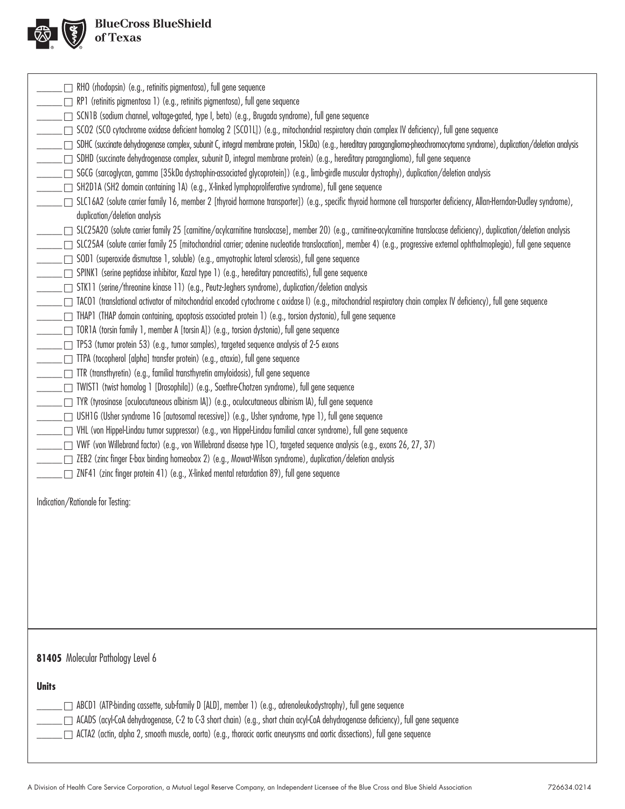

| $\Box$ RHO (rhodopsin) (e.g., retinitis pigmentosa), full gene sequence<br>[□ RP1 (retinitis pigmentosa 1) (e.g., retinitis pigmentosa), full gene sequence<br>_ └ SCN1B (sodium channel, voltage-gated, type I, beta) (e.g., Brugada syndrome), full gene sequence<br>[10] SCO2 (SCO cytochrome oxidase deficient homolog 2 [SCO1L]) (e.g., mitochondrial respiratory chain complex IV deficiency), full gene sequence<br>SDHC (succinate dehydrogenase complex, subunit C, integral membrane protein, 15kDa) (e.g., hereditary paraganglioma-pheochromocytoma syndrome), duplication/deletion analysis<br>□ SDHD (succinate dehydrogenase complex, subunit D, integral membrane protein) (e.g., hereditary paraganglioma), full gene sequence<br>SGCG (sarcoglycan, gamma [35kDa dystrophin-associated glycoprotein]) (e.g., limb-girdle muscular dystrophy), duplication/deletion analysis<br>SH2D1A (SH2 domain containing 1A) (e.g., X-linked lymphoproliferative syndrome), full gene sequence<br>SLC16A2 (solute carrier family 16, member 2 [thyroid hormone transporter]) (e.g., specific thyroid hormone cell transporter deficiency, Allan-Herndon-Dudley syndrome),<br>duplication/deletion analysis<br>SLC25A20 (solute carrier family 25 [carnitine/acylcarnitine translocase], member 20) (e.g., carnitine-acylcarnitine translocase deficiency), duplication/deletion analysis<br>SLC25A4 (solute carrier family 25 [mitochondrial carrier; adenine nucleotide translocation], member 4) (e.g., progressive external ophthalmoplegia), full gene sequence<br>□ SOD1 (superoxide dismutase 1, soluble) (e.g., amyotrophic lateral sclerosis), full gene sequence<br>_ □ SPINK1 (serine peptidase inhibitor, Kazal type 1) (e.g., hereditary pancreatitis), full gene sequence<br>_ STK11 (serine/threonine kinase 11) (e.g., Peutz-Jeghers syndrome), duplication/deletion analysis<br>□ TACO1 (translational activator of mitochondrial encoded cytochrome c oxidase I) (e.g., mitochondrial respiratory chain complex IV deficiency), full gene sequence<br>□ THAP1 (THAP domain containing, apoptosis associated protein 1) (e.g., torsion dystonia), full gene sequence<br>[10R1A (torsin family 1, member A [torsin A]) (e.g., torsion dystonia), full gene sequence<br>□ TP53 (tumor protein 53) (e.g., tumor samples), targeted sequence analysis of 2-5 exons<br>_____ __ TTPA (tocopherol [alpha] transfer protein) (e.g., ataxia), full gene sequence<br>______ ___ TTR (transthyretin) (e.g., familial transthyretin amyloidosis), full gene sequence<br>_ TWIST1 (twist homolog 1 [Drosophila]) (e.g., Saethre-Chotzen syndrome), full gene sequence<br>∑∏ TYR (tyrosinase [oculocutaneous albinism IA]) (e.g., oculocutaneous albinism IA), full gene sequence<br>□ USH1G (Usher syndrome 1G [autosomal recessive]) (e.g., Usher syndrome, type 1), full gene sequence<br>□ VHL (von Hippel-Lindau tumor suppressor) (e.g., von Hippel-Lindau familial cancer syndrome), full gene sequence<br>∑ VWF (von Willebrand factor) (e.g., von Willebrand disease type 1C), targeted sequence analysis (e.g., exons 26, 27, 37)<br>∑ ZEB2 (zinc finger E-box binding homeobox 2) (e.g., Mowat-Wilson syndrome), duplication/deletion analysis<br>$\Box$ ZNF41 (zinc finger protein 41) (e.g., X-linked mental retardation 89), full gene sequence<br>Indication/Rationale for Testing: |
|-------------------------------------------------------------------------------------------------------------------------------------------------------------------------------------------------------------------------------------------------------------------------------------------------------------------------------------------------------------------------------------------------------------------------------------------------------------------------------------------------------------------------------------------------------------------------------------------------------------------------------------------------------------------------------------------------------------------------------------------------------------------------------------------------------------------------------------------------------------------------------------------------------------------------------------------------------------------------------------------------------------------------------------------------------------------------------------------------------------------------------------------------------------------------------------------------------------------------------------------------------------------------------------------------------------------------------------------------------------------------------------------------------------------------------------------------------------------------------------------------------------------------------------------------------------------------------------------------------------------------------------------------------------------------------------------------------------------------------------------------------------------------------------------------------------------------------------------------------------------------------------------------------------------------------------------------------------------------------------------------------------------------------------------------------------------------------------------------------------------------------------------------------------------------------------------------------------------------------------------------------------------------------------------------------------------------------------------------------------------------------------------------------------------------------------------------------------------------------------------------------------------------------------------------------------------------------------------------------------------------------------------------------------------------------------------------------------------------------------------------------------------------------------------------------------------------------------------------------------------------------------------------------------------------------------------------------------------------------------------------------------------------------------------------------------------------------------------------------------------------------------------------------------------------------------------------------------------------------------------------------------------------------------------------------------------------------------------------------------------------------------------------------------|
| 81405 Molecular Pathology Level 6<br><b>Units</b><br>ABCD1 (ATP-binding cassette, sub-family D [ALD], member 1) (e.g., adrenoleukodystrophy), full gene sequence<br>ACADS (acyl-CoA dehydrogenase, C-2 to C-3 short chain) (e.g., short chain acyl-CoA dehydrogenase deficiency), full gene sequence<br>ACTA2 (actin, alpha 2, smooth muscle, aorta) (e.g., thoracic aortic aneurysms and aortic dissections), full gene sequence                                                                                                                                                                                                                                                                                                                                                                                                                                                                                                                                                                                                                                                                                                                                                                                                                                                                                                                                                                                                                                                                                                                                                                                                                                                                                                                                                                                                                                                                                                                                                                                                                                                                                                                                                                                                                                                                                                                                                                                                                                                                                                                                                                                                                                                                                                                                                                                                                                                                                                                                                                                                                                                                                                                                                                                                                                                                                                                                                                           |
|                                                                                                                                                                                                                                                                                                                                                                                                                                                                                                                                                                                                                                                                                                                                                                                                                                                                                                                                                                                                                                                                                                                                                                                                                                                                                                                                                                                                                                                                                                                                                                                                                                                                                                                                                                                                                                                                                                                                                                                                                                                                                                                                                                                                                                                                                                                                                                                                                                                                                                                                                                                                                                                                                                                                                                                                                                                                                                                                                                                                                                                                                                                                                                                                                                                                                                                                                                                                             |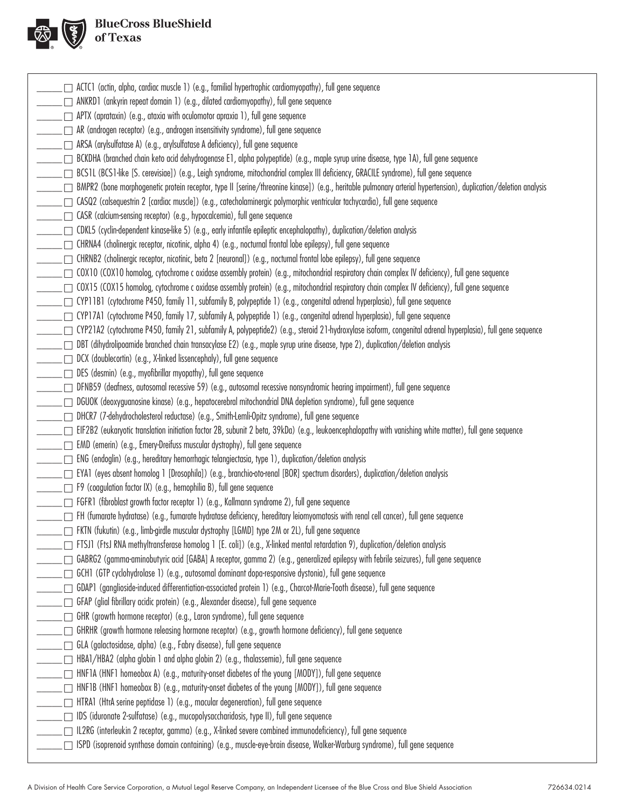

# BlueCross BlueShield

| ACTC1 (actin, alpha, cardiac muscle 1) (e.g., familial hypertrophic cardiomyopathy), full gene sequence                                                                                           |
|---------------------------------------------------------------------------------------------------------------------------------------------------------------------------------------------------|
| □ ANKRD1 (ankyrin repeat domain 1) (e.g., dilated cardiomyopathy), full gene sequence                                                                                                             |
| $\Box$ APTX (aprataxin) (e.g., ataxia with oculomotor apraxia 1), full gene sequence                                                                                                              |
| $\Box$ AR (androgen receptor) (e.g., androgen insensitivity syndrome), full gene sequence                                                                                                         |
| □ ARSA (arylsulfatase A) (e.g., arylsulfatase A deficiency), full gene sequence                                                                                                                   |
| BCKDHA (branched chain keto acid dehydrogenase E1, alpha polypeptide) (e.g., maple syrup urine disease, type 1A), full gene sequence                                                              |
| □ BCS1L (BCS1-like [S. cerevisiae]) (e.g., Leigh syndrome, mitochondrial complex III deficiency, GRACILE syndrome), full gene sequence                                                            |
| BMPR2 (bone morphogenetic protein receptor, type II [serine/threonine kinase]) (e.g., heritable pulmonary arterial hypertension), duplication/deletion analysis                                   |
| □ CASQ2 (calsequestrin 2 [cardiac muscle]) (e.g., catecholaminergic polymorphic ventricular tachycardia), full gene sequence                                                                      |
| □ CASR (calcium-sensing receptor) (e.g., hypocalcemia), full gene sequence                                                                                                                        |
| □ CDKL5 (cyclin-dependent kinase-like 5) (e.g., early infantile epileptic encephalopathy), duplication/deletion analysis                                                                          |
| $\Box$ CHRNA4 (cholinergic receptor, nicotinic, alpha 4) (e.g., nocturnal frontal lobe epilepsy), full gene sequence                                                                              |
| □ CHRNB2 (cholinergic receptor, nicotinic, beta 2 [neuronal]) (e.g., nocturnal frontal lobe epilepsy), full gene sequence                                                                         |
| $\Box$ COX10 (COX10 homolog, cytochrome c oxidase assembly protein) (e.g., mitochondrial respiratory chain complex IV deficiency), full gene sequence                                             |
| $\Box$ COX15 (COX15 homolog, cytochrome c oxidase assembly protein) (e.g., mitochondrial respiratory chain complex IV deficiency), full gene sequence                                             |
| CYP11B1 (cytochrome P450, family 11, subfamily B, polypeptide 1) (e.g., congenital adrenal hyperplasia), full gene sequence                                                                       |
| CYP17A1 (cytochrome P450, family 17, subfamily A, polypeptide 1) (e.g., congenital adrenal hyperplasia), full gene sequence                                                                       |
| □ CYP21A2 (cytochrome P450, family 21, subfamily A, polypeptide2) (e.g., steroid 21-hydroxylase isoform, congenital adrenal hyperplasia), full gene sequence                                      |
| □ DBT (dihydrolipoamide branched chain transacylase E2) (e.g., maple syrup urine disease, type 2), duplication/deletion analysis                                                                  |
| DCX (doublecortin) (e.g., X-linked lissencephaly), full gene sequence                                                                                                                             |
| $\Box$ DES (desmin) (e.g., myofibrillar myopathy), full gene sequence                                                                                                                             |
|                                                                                                                                                                                                   |
| □ DFNB59 (deafness, autosomal recessive 59) (e.g., autosomal recessive nonsyndromic hearing impairment), full gene sequence                                                                       |
| □ DGUOK (deoxyguanosine kinase) (e.g., hepatocerebral mitochondrial DNA depletion syndrome), full gene sequence                                                                                   |
| □ DHCR7 (7-dehydrocholesterol reductase) (e.g., Smith-Lemli-Opitz syndrome), full gene sequence                                                                                                   |
| □ EIF2B2 (eukaryotic translation initiation factor 2B, subunit 2 beta, 39kDa) (e.g., leukoencephalopathy with vanishing white matter), full gene sequence                                         |
| EMD (emerin) (e.g., Emery-Dreifuss muscular dystrophy), full gene sequence                                                                                                                        |
| $\Box$ ENG (endoglin) (e.g., hereditary hemorrhagic telangiectasia, type 1), duplication/deletion analysis                                                                                        |
| [Drosophila]) (e.g., brancho-oto-renal [BOR] spectrum disorders), duplication/deletion analysis [[Drosophila]) (e.g., branchio-oto-renal [BOR] spectrum disorders), duplication/deletion analysis |
| $\Box$ F9 (coagulation factor IX) (e.g., hemophilia B), full gene sequence                                                                                                                        |
| FGFR1 (fibroblast growth factor receptor 1) (e.g., Kallmann syndrome 2), full gene sequence                                                                                                       |
| FH (fumarate hydratase) (e.g., fumarate hydratase deficiency, hereditary leiomyomatosis with renal cell cancer), full gene sequence                                                               |
| _ ┌ FKTN (fukutin) (e.g., limb-girdle muscular dystrophy [LGMD] type 2M or 2L), full gene sequence                                                                                                |
| □ FTSJ1 (FtsJ RNA methyltransferase homolog 1 [E. coli]) (e.g., X-linked mental retardation 9), duplication/deletion analysis                                                                     |
| GABRG2 (gamma-aminobutyric acid [GABA] A receptor, gamma 2) (e.g., generalized epilepsy with febrile seizures), full gene sequence                                                                |
| GCH1 (GTP cyclohydrolase 1) (e.g., autosomal dominant dopa-responsive dystonia), full gene sequence                                                                                               |
| □ GDAP1 (ganglioside-induced differentiation-associated protein 1) (e.g., Charcot-Marie-Tooth disease), full gene sequence                                                                        |
| □ GFAP (glial fibrillary acidic protein) (e.g., Alexander disease), full gene sequence                                                                                                            |
| $\Box$ GHR (growth hormone receptor) (e.g., Laron syndrome), full gene sequence                                                                                                                   |
| $\Box$ GHRHR (growth hormone releasing hormone receptor) (e.g., growth hormone deficiency), full gene sequence                                                                                    |
| □ GLA (galactosidase, alpha) (e.g., Fabry disease), full gene sequence                                                                                                                            |
| HBA1/HBA2 (alpha globin 1 and alpha globin 2) (e.g., thalassemia), full gene sequence                                                                                                             |
| $\Box$ HNF1A (HNF1 homeobox A) (e.g., maturity-onset diabetes of the young [MODY]), full gene sequence                                                                                            |
| _┌─ HNF1B (HNF1 homeobox B) (e.g., maturity-onset diabetes of the young [MODY]), full gene sequence                                                                                               |
| HTRA1 (HtrA serine peptidase 1) (e.g., macular degeneration), full gene sequence                                                                                                                  |
| □ IDS (iduronate 2-sulfatase) (e.g., mucopolysaccharidosis, type II), full gene sequence                                                                                                          |
| □ IL2RG (interleukin 2 receptor, gamma) (e.g., X-linked severe combined immunodeficiency), full gene sequence                                                                                     |
| _____ ISPD (isoprenoid synthase domain containing) (e.g., muscle-eye-brain disease, Walker-Warburg syndrome), full gene sequence                                                                  |
|                                                                                                                                                                                                   |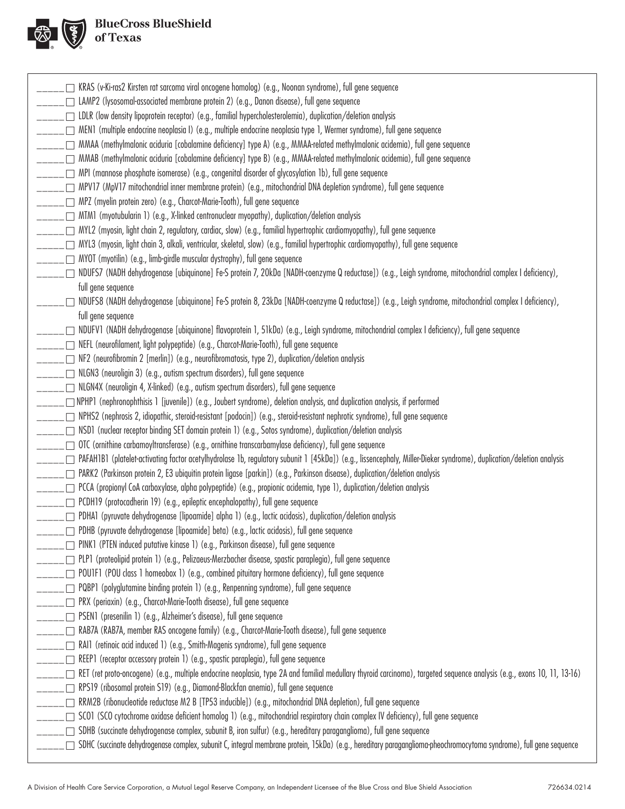

| $\Box$ KRAS (v-Ki-ras2 Kirsten rat sarcoma viral oncogene homolog) (e.g., Noonan syndrome), full gene sequence                                                                 |
|--------------------------------------------------------------------------------------------------------------------------------------------------------------------------------|
| ____ □ LAMP2 (lysosomal-associated membrane protein 2) (e.g., Danon disease), full gene sequence                                                                               |
| ____ □ LDLR (low density lipoprotein receptor) (e.g., familial hypercholesterolemia), duplication/deletion analysis                                                            |
| ____ __ MEN1 (multiple endocrine neoplasia I) (e.g., multiple endocrine neoplasia type 1, Wermer syndrome), full gene sequence                                                 |
| ____ □ MMAA (methylmalonic aciduria [cobalamine deficiency] type A) (e.g., MMAA-related methylmalonic acidemia), full gene sequence                                            |
| ____ □ MMAB (methylmalonic aciduria [cobalamine deficiency] type B) (e.g., MMAA-related methylmalonic acidemia), full gene sequence                                            |
| MPI (mannose phosphate isomerase) (e.g., congenital disorder of glycosylation 1b), full gene sequence                                                                          |
| ____ ┌ MPV17 (MpV17 mitochondrial inner membrane protein) (e.g., mitochondrial DNA depletion syndrome), full gene sequence                                                     |
| $\_\_ \_\_ \$ MPZ (myelin protein zero) (e.g., Charcot-Marie-Tooth), full gene sequence                                                                                        |
| _____ _ MTM1 (myotubularin 1) (e.g., X-linked centronuclear myopathy), duplication/deletion analysis                                                                           |
| _____ □ MYL2 (myosin, light chain 2, regulatory, cardiac, slow) (e.g., familial hypertrophic cardiomyopathy), full gene sequence                                               |
| _____ □ MYL3 (myosin, light chain 3, alkali, ventricular, skeletal, slow) (e.g., familial hypertrophic cardiomyopathy), full gene sequence                                     |
| ______ mYOT (myotilin) (e.g., limb-girdle muscular dystrophy), full gene sequence                                                                                              |
| ____ __ NDUFS7 (NADH dehydrogenase [ubiquinone] Fe-S protein 7, 20kDa [NADH-coenzyme Q reductase]) (e.g., Leigh syndrome, mitochondrial complex I deficiency),                 |
| full gene sequence                                                                                                                                                             |
| ____ □ NDUFS8 (NADH dehydrogenase [ubiquinone] Fe-S protein 8, 23kDa [NADH-coenzyme Q reductase]) (e.g., Leigh syndrome, mitochondrial complex I deficiency),                  |
| full gene sequence                                                                                                                                                             |
| ____ __ NDUFV1 (NADH dehydrogenase [ubiquinone] flavoprotein 1, 51kDa) (e.g., Leigh syndrome, mitochondrial complex I deficiency), full gene sequence                          |
| _____ MEFL (neurofilament, light polypeptide) (e.g., Charcot-Marie-Tooth), full gene sequence                                                                                  |
| $\rule{1em}{0.15mm} \square$ NF2 (neurofibromin 2 [merlin]) (e.g., neurofibromatosis, type 2), duplication/deletion analysis                                                   |
| $\rule{1em}{0.15mm}$ $\Box$ NLGN3 (neuroligin 3) (e.g., autism spectrum disorders), full gene sequence                                                                         |
| _____ □ NLGN4X (neuroligin 4, X-linked) (e.g., autism spectrum disorders), full gene sequence                                                                                  |
| _____ □ NPHP1 (nephronophthisis 1 [juvenile]) (e.g., Joubert syndrome), deletion analysis, and duplication analysis, if performed                                              |
| ____ □ NPHS2 (nephrosis 2, idiopathic, steroid-resistant [podocin]) (e.g., steroid-resistant nephrotic syndrome), full gene sequence                                           |
| NSD1 (nuclear receptor binding SET domain protein 1) (e.g., Sotos syndrome), duplication/deletion analysis                                                                     |
| ____ □ OTC (ornithine carbamoyltransferase) (e.g., ornithine transcarbamylase deficiency), full gene sequence                                                                  |
| ____ □ PAFAH1B1 (platelet-activating factor acetylhydrolase 1b, regulatory subunit 1 [45kDa]) (e.g., lissencephaly, Miller-Dieker syndrome), duplication/deletion analysis     |
| _____ □ PARK2 (Parkinson protein 2, E3 ubiquitin protein ligase [parkin]) (e.g., Parkinson disease), duplication/deletion analysis                                             |
| _____ □ PCCA (propionyl CoA carboxylase, alpha polypeptide) (e.g., propionic acidemia, type 1), duplication/deletion analysis                                                  |
| $\Box$ PCDH19 (protocadherin 19) (e.g., epileptic encephalopathy), full gene sequence                                                                                          |
| ____ __ PDHA1 (pyruvate dehydrogenase [lipoamide] alpha 1) (e.g., lactic acidosis), duplication/deletion analysis                                                              |
| $\Box$ PDHB (pyruvate dehydrogenase [lipoamide] beta) (e.g., lactic acidosis), full gene sequence                                                                              |
| ___ __ PINK1 (PTEN induced putative kinase 1) (e.g., Parkinson disease), full gene sequence                                                                                    |
| ____ __ PLP1 (proteolipid protein 1) (e.g., Pelizaeus-Merzbacher disease, spastic paraplegia), full gene sequence                                                              |
| $\Box$ POUTF1 (POU class 1 homeobox 1) (e.g., combined pituitary hormone deficiency), full gene sequence                                                                       |
| $\Box$ PQBP1 (polyglutamine binding protein 1) (e.g., Renpenning syndrome), full gene sequence                                                                                 |
| _____ __ PRX (periaxin) (e.g., Charcot-Marie-Tooth disease), full gene sequence                                                                                                |
| $\_\_ \_\_ \_\_$ PSEN1 (presenilin 1) (e.g., Alzheimer's disease), full gene sequence                                                                                          |
| ____ __ RAB7A (RAB7A, member RAS oncogene family) (e.g., Charcot-Marie-Tooth disease), full gene sequence                                                                      |
| ______ m RAI1 (retinoic acid induced 1) (e.g., Smith-Magenis syndrome), full gene sequence                                                                                     |
| $\Box$ REEP1 (receptor accessory protein 1) (e.g., spastic paraplegia), full gene sequence                                                                                     |
| ____ □ RET (ret proto-oncogene) (e.g., multiple endocrine neoplasia, type 2A and familial medullary thyroid carcinoma), targeted sequence analysis (e.g., exons 10, 11, 13-16) |
| _____ resignational protein S19) (e.g., Diamond-Blackfan anemia), full gene sequence                                                                                           |
| _____ □ RRM2B (ribonucleotide reductase M2 B [TP53 inducible]) (e.g., mitochondrial DNA depletion), full gene sequence                                                         |
| ____ _ SCO1 (SCO cytochrome oxidase deficient homolog 1) (e.g., mitochondrial respiratory chain complex IV deficiency), full gene sequence                                     |
| SDHB (succinate dehydrogenase complex, subunit B, iron sulfur) (e.g., hereditary paraganglioma), full gene sequence                                                            |
| SDHC (succinate dehydrogenase complex, subunit C, integral membrane protein, 15kDa) (e.g., hereditary paraganglioma-pheochromocytoma syndrome), full gene sequence ⊆ )         |
|                                                                                                                                                                                |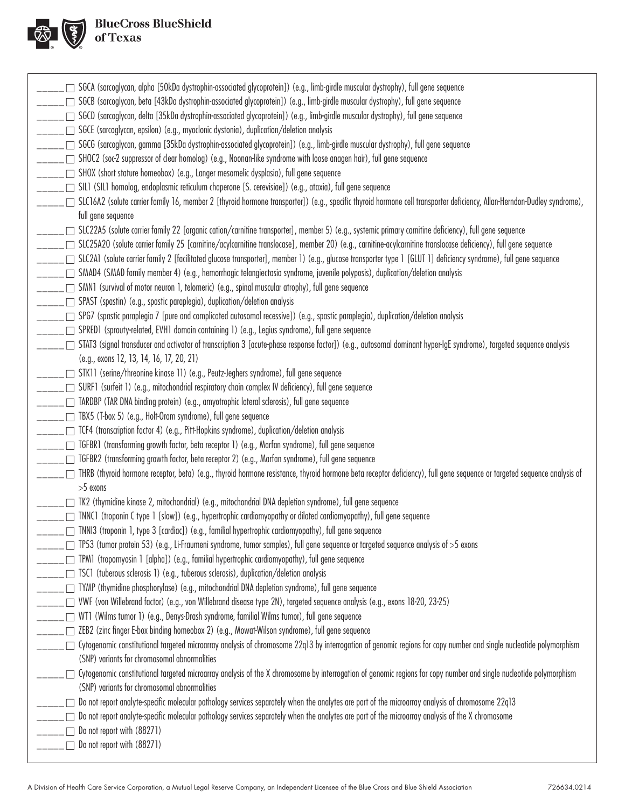

| $\Box$ SGCA (sarcoglycan, alpha [50kDa dystrophin-associated glycoprotein]) (e.g., limb-girdle muscular dystrophy), full gene sequence                                                                                           |
|----------------------------------------------------------------------------------------------------------------------------------------------------------------------------------------------------------------------------------|
| _ □ SGCB (sarcoglycan, beta [43kDa dystrophin-associated glycoprotein]) (e.g., limb-girdle muscular dystrophy), full gene sequence                                                                                               |
| ____ □ SGCD (sarcoglycan, delta [35kDa dystrophin-associated glycoprotein]) (e.g., limb-girdle muscular dystrophy), full gene sequence                                                                                           |
| ____ ┌ SGCE (sarcoglycan, epsilon) (e.g., myoclonic dystonia), duplication/deletion analysis                                                                                                                                     |
| ____ □ SGCG (sarcoglycan, gamma [35kDa dystrophin-associated glycoprotein]) (e.g., limb-girdle muscular dystrophy), full gene sequence                                                                                           |
| ____ □ SHOC2 (soc-2 suppressor of clear homolog) (e.g., Noonan-like syndrome with loose anagen hair), full gene sequence                                                                                                         |
| _____ □ SHOX (short stature homeobox) (e.g., Langer mesomelic dysplasia), full gene sequence                                                                                                                                     |
| ____ __ SIL1 (SIL1 homolog, endoplasmic reticulum chaperone [S. cerevisiae]) (e.g., ataxia), full gene sequence                                                                                                                  |
| _ SLC16A2 (solute carrier family 16, member 2 [thyroid hormone transporter]) (e.g., specific thyroid hormone cell transporter deficiency, Allan-Herndon-Dudley syndrome),                                                        |
| full gene sequence                                                                                                                                                                                                               |
| ____ □ SLC22A5 (solute carrier family 22 [organic cation/carnitine transporter], member 5) (e.g., systemic primary carnitine deficiency), full gene sequence                                                                     |
| _ □ SLC25A20 (solute carrier family 25 [carnitine/acylcarnitine translocase], member 20) (e.g., carnitine-acylcarnitine translocase deficiency), full gene sequence                                                              |
| ____ □ SLC2A1 (solute carrier family 2 [facilitated glucose transporter], member 1) (e.g., glucose transporter type 1 [GLUT 1] deficiency syndrome), full gene sequence                                                          |
| ____ □ SMAD4 (SMAD family member 4) (e.g., hemorrhagic telangiectasia syndrome, juvenile polyposis), duplication/deletion analysis                                                                                               |
| $\Box$ SMN1 (survival of motor neuron 1, telomeric) (e.g., spinal muscular atrophy), full gene sequence                                                                                                                          |
| ____ __ SPAST (spastin) (e.g., spastic paraplegia), duplication/deletion analysis                                                                                                                                                |
| ____ _ SPG7 (spastic paraplegia 7 [pure and complicated autosomal recessive]) (e.g., spastic paraplegia), duplication/deletion analysis                                                                                          |
| ____ □ SPRED1 (sprouty-related, EVH1 domain containing 1) (e.g., Legius syndrome), full gene sequence                                                                                                                            |
| _ STAT3 (signal transducer and activator of transcription 3 [acute-phase response factor]) (e.g., autosomal dominant hyper-IgE syndrome), targeted sequence analysis                                                             |
| (e.g., exons 12, 13, 14, 16, 17, 20, 21)                                                                                                                                                                                         |
| ____ __ STK11 (serine/threonine kinase 11) (e.g., Peutz-Jeghers syndrome), full gene sequence                                                                                                                                    |
| $\Box$ SURF1 (surfeit 1) (e.g., mitochondrial respiratory chain complex IV deficiency), full gene sequence                                                                                                                       |
| $\_\_ \_\_ \_\_\_$ TARDBP (TAR DNA binding protein) (e.g., amyotrophic lateral sclerosis), full gene sequence                                                                                                                    |
| $\Box$ TBX5 (T-box 5) (e.g., Holt-Oram syndrome), full gene sequence                                                                                                                                                             |
| $\_\_$ TCF4 (transcription factor 4) (e.g., Pitt-Hopkins syndrome), duplication/deletion analysis                                                                                                                                |
| ____ __ TGFBR1 (transforming growth factor, beta receptor 1) (e.g., Marfan syndrome), full gene sequence                                                                                                                         |
| ____ □ TGFBR2 (transforming growth factor, beta receptor 2) (e.g., Marfan syndrome), full gene sequence                                                                                                                          |
| □ THRB (thyroid hormone receptor, beta) (e.g., thyroid hormone resistance, thyroid hormone beta receptor deficiency), full gene sequence or targeted sequence analysis of                                                        |
| >5 exons                                                                                                                                                                                                                         |
| $\Box$ TK2 (thymidine kinase 2, mitochondrial) (e.g., mitochondrial DNA depletion syndrome), full gene sequence                                                                                                                  |
| □ TNNC1 (troponin C type 1 [slow]) (e.g., hypertrophic cardiomyopathy or dilated cardiomyopathy), full gene sequence                                                                                                             |
| $\Box$ TNNI3 (troponin 1, type 3 [cardiac]) (e.g., familial hypertrophic cardiomyopathy), full gene sequence                                                                                                                     |
| $\Box$ TP53 (tumor protein 53) (e.g., Li-Fraumeni syndrome, tumor samples), full gene sequence or targeted sequence analysis of >5 exons                                                                                         |
| $\Box$ TPM1 (tropomyosin 1 [alpha]) (e.g., familial hypertrophic cardiomyopathy), full gene sequence                                                                                                                             |
| □ TSC1 (tuberous sclerosis 1) (e.g., tuberous sclerosis), duplication/deletion analysis                                                                                                                                          |
| □ TYMP (thymidine phosphorylase) (e.g., mitochondrial DNA depletion syndrome), full gene sequence<br>□ VWF (von Willebrand factor) (e.g., von Willebrand disease type 2N), targeted sequence analysis (e.g., exons 18-20, 23-25) |
|                                                                                                                                                                                                                                  |
| $\Box$ WT1 (Wilms tumor 1) (e.g., Denys-Drash syndrome, familial Wilms tumor), full gene sequence<br>ZEB2 (zinc finger E-box binding homeobox 2) (e.g., Mowat-Wilson syndrome), full gene sequence                               |
| □ Cytogenomic constitutional targeted microarray analysis of chromosome 22q13 by interrogation of genomic regions for copy number and single nucleotide polymorphism                                                             |
| (SNP) variants for chromosomal abnormalities                                                                                                                                                                                     |
| Cytogenomic constitutional targeted microarray analysis of the X chromosome by interrogation of genomic regions for copy number and single nucleotide polymorphism                                                               |
| (SNP) variants for chromosomal abnormalities                                                                                                                                                                                     |
| Do not report analyte-specific molecular pathology services separately when the analytes are part of the microarray analysis of chromosome 22q13                                                                                 |
| Do not report analyte-specific molecular pathology services separately when the analytes are part of the microarray analysis of the X chromosome                                                                                 |
| $\Box$ Do not report with (88271)                                                                                                                                                                                                |
| $\Box$ Do not report with (88271)                                                                                                                                                                                                |
|                                                                                                                                                                                                                                  |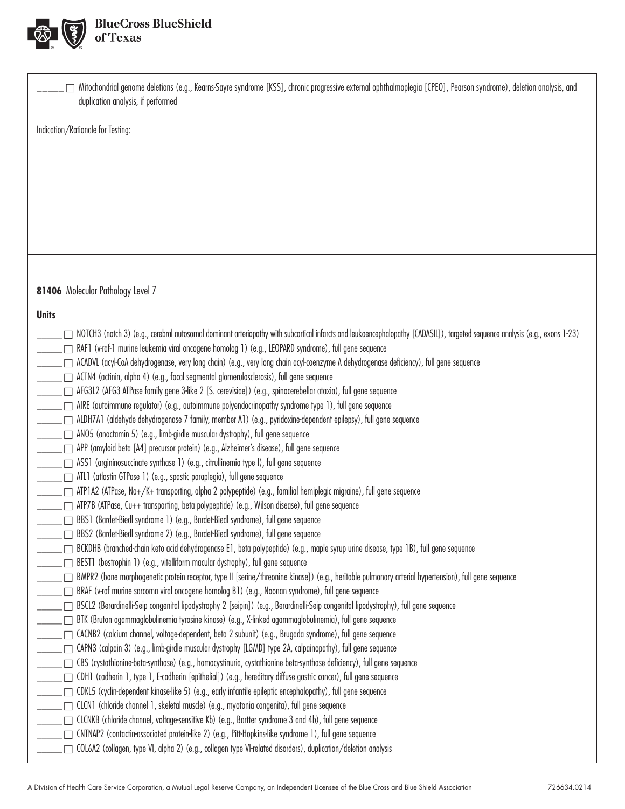

| Mitochondrial genome deletions (e.g., Kearns-Sayre syndrome [KSS], chronic progressive external ophthalmoplegia [CPEO], Pearson syndrome), deletion analysis, and<br>duplication analysis, if performed                                                   |
|-----------------------------------------------------------------------------------------------------------------------------------------------------------------------------------------------------------------------------------------------------------|
| Indication/Rationale for Testing:                                                                                                                                                                                                                         |
|                                                                                                                                                                                                                                                           |
|                                                                                                                                                                                                                                                           |
|                                                                                                                                                                                                                                                           |
|                                                                                                                                                                                                                                                           |
|                                                                                                                                                                                                                                                           |
|                                                                                                                                                                                                                                                           |
|                                                                                                                                                                                                                                                           |
|                                                                                                                                                                                                                                                           |
| 81406 Molecular Pathology Level 7                                                                                                                                                                                                                         |
| <b>Units</b>                                                                                                                                                                                                                                              |
| NOTCH3 (notch 3) (e.g., cerebral autosomal dominant arteriopathy with subcortical infarcts and leukoencephalopathy [CADASIL]), targeted sequence analysis (e.g., exons 1-23)                                                                              |
| _ ┌ RAF1 (v-raf-1 murine leukemia viral oncogene homolog 1) (e.g., LEOPARD syndrome), full gene sequence                                                                                                                                                  |
| ____ __ ACADVL (acyl-CoA dehydrogenase, very long chain) (e.g., very long chain acyl-coenzyme A dehydrogenase deficiency), full gene sequence                                                                                                             |
| □ ACTN4 (actinin, alpha 4) (e.g., focal segmental glomerulosclerosis), full gene sequence<br>______ AFG3L2 (AFG3 ATPase family gene 3-like 2 [S. cerevisiae]) (e.g., spinocerebellar ataxia), full gene sequence                                          |
| AIRE (autoimmune regulator) (e.g., autoimmune polyendocrinopathy syndrome type 1), full gene sequence                                                                                                                                                     |
| ALDH7A1 (aldehyde dehydrogenase 7 family, member A1) (e.g., pyridoxine-dependent epilepsy), full gene sequence                                                                                                                                            |
| ______ __ ANO5 (anoctamin 5) (e.g., limb-girdle muscular dystrophy), full gene sequence                                                                                                                                                                   |
| _____ __ APP (amyloid beta [A4] precursor protein) (e.g., Alzheimer's disease), full gene sequence                                                                                                                                                        |
| □ ASS1 (argininosuccinate synthase 1) (e.g., citrullinemia type I), full gene sequence                                                                                                                                                                    |
| ______ __ ATL1 (atlastin GTPase 1) (e.g., spastic paraplegia), full gene sequence<br>ATP1A2 (ATPase, Na+/K+ transporting, alpha 2 polypeptide) (e.g., familial hemiplegic migraine), full gene sequence                                                   |
| _ □ ATP7B (ATPase, Cu++ transporting, beta polypeptide) (e.g., Wilson disease), full gene sequence                                                                                                                                                        |
| _ □ BBS1 (Bardet-Biedl syndrome 1) (e.g., Bardet-Biedl syndrome), full gene sequence                                                                                                                                                                      |
| _ □ BBS2 (Bardet-Biedl syndrome 2) (e.g., Bardet-Biedl syndrome), full gene sequence                                                                                                                                                                      |
| □ BCKDHB (branched-chain keto acid dehydrogenase E1, beta polypeptide) (e.g., maple syrup urine disease, type 1B), full gene sequence                                                                                                                     |
| $\Box$ BEST1 (bestrophin 1) (e.g., vitelliform macular dystrophy), full gene sequence                                                                                                                                                                     |
| BMPR2 (bone morphogenetic protein receptor, type II [serine/threonine kinase]) (e.g., heritable pulmonary arterial hypertension), full gene sequence<br>BRAF (v-raf murine sarcoma viral oncogene homolog B1) (e.g., Noonan syndrome), full gene sequence |
| ESCL2 (Berardinelli-Seip congenital lipodystrophy 2 [seipin]) (e.g., Berardinelli-Seip congenital lipodystrophy), full gene sequence [                                                                                                                    |
| BTK (Bruton agammaglobulinemia tyrosine kinase) (e.g., X-linked agammaglobulinemia), full gene sequence                                                                                                                                                   |
| CACNB2 (calcium channel, voltage-dependent, beta 2 subunit) (e.g., Brugada syndrome), full gene sequence                                                                                                                                                  |
| □ CAPN3 (calpain 3) (e.g., limb-girdle muscular dystrophy [LGMD] type 2A, calpainopathy), full gene sequence                                                                                                                                              |
| $\Box$ CBS (cystathionine-beta-synthase) (e.g., homocystinuria, cystathionine beta-synthase deficiency), full gene sequence<br>CDH1 (cadherin 1, type 1, E-cadherin [epithelial]) (e.g., hereditary diffuse gastric cancer), full gene sequence           |
| □ CDKL5 (cyclin-dependent kinase-like 5) (e.g., early infantile epileptic encephalopathy), full gene sequence                                                                                                                                             |
| $\Box$ CLCN1 (chloride channel 1, skeletal muscle) (e.g., myotonia congenita), full gene sequence                                                                                                                                                         |
| CLCNKB (chloride channel, voltage-sensitive Kb) (e.g., Bartter syndrome 3 and 4b), full gene sequence                                                                                                                                                     |
| □ CNTNAP2 (contactin-associated protein-like 2) (e.g., Pitt-Hopkins-like syndrome 1), full gene sequence                                                                                                                                                  |
| □ COL6A2 (collagen, type VI, alpha 2) (e.g., collagen type VI-related disorders), duplication/deletion analysis                                                                                                                                           |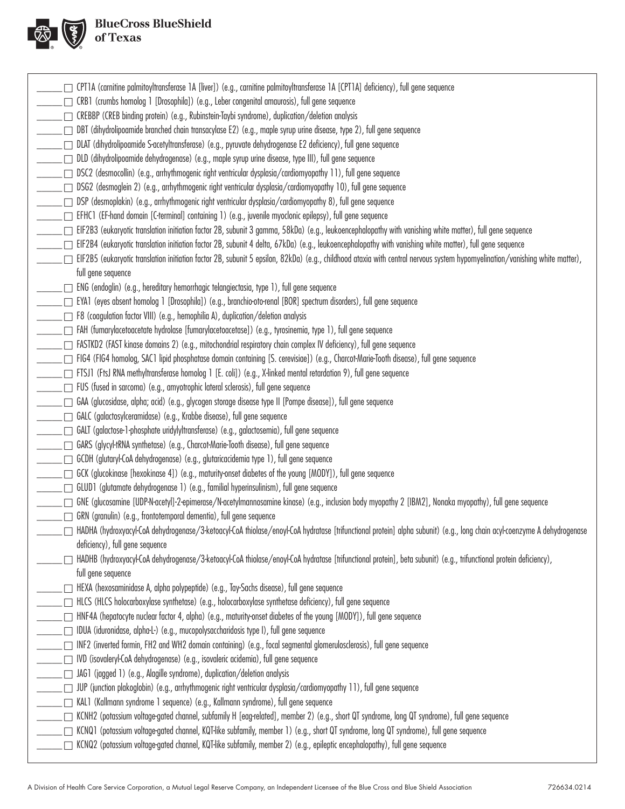

| □ CPT1A (carnitine palmitoyltransferase 1A [liver]) (e.g., carnitine palmitoyltransferase 1A [CPT1A] deficiency), full gene sequence                                        |  |
|-----------------------------------------------------------------------------------------------------------------------------------------------------------------------------|--|
| $\Box$ CRB1 (crumbs homolog 1 [Drosophila]) (e.g., Leber congenital amaurosis), full gene sequence                                                                          |  |
|                                                                                                                                                                             |  |
| DBT (dihydrolipoamide branched chain transacylase E2) (e.g., maple syrup urine disease, type 2), full gene sequence                                                         |  |
|                                                                                                                                                                             |  |
| _____ DLAT (dihydrolipoamide S-acetyltransferase) (e.g., pyruvate dehydrogenase E2 deficiency), full gene sequence                                                          |  |
| ____ □ DLD (dihydrolipoamide dehydrogenase) (e.g., maple syrup urine disease, type III), full gene sequence                                                                 |  |
| □ DSC2 (desmocollin) (e.g., arrhythmogenic right ventricular dysplasia/cardiomyopathy 11), full gene sequence                                                               |  |
| □ DSG2 (desmoglein 2) (e.g., arrhythmogenic right ventricular dysplasia/cardiomyopathy 10), full gene sequence                                                              |  |
| _____ DSP (desmoplakin) (e.g., arrhythmogenic right ventricular dysplasia/cardiomyopathy 8), full gene sequence                                                             |  |
|                                                                                                                                                                             |  |
| EIF2B3 (eukaryotic translation initiation factor 2B, subunit 3 gamma, 58kDa) (e.g., leukoencephalopathy with vanishing white matter), full gene sequence                    |  |
| _ [iF2B4 (eukaryotic translation initiation factor 2B, subunit 4 delta, 67kDa) (e.g., leukoencephalopathy with vanishing white matter), full gene sequence                  |  |
| EIF2B5 (eukaryotic translation initiation factor 2B, subunit 5 epsilon, 82kDa) (e.g., childhood ataxia with central nervous system hypomyelination/vanishing white matter), |  |
| full gene sequence                                                                                                                                                          |  |
| _ □ ENG (endoglin) (e.g., hereditary hemorrhagic telangiectasia, type 1), full gene sequence                                                                                |  |
| EYA1 (eyes absent homolog 1 [Drosophila]) (e.g., branchio-oto-renal [BOR] spectrum disorders), full gene sequence                                                           |  |
| F8 (coagulation factor VIII) (e.g., hemophilia A), duplication/deletion analysis                                                                                            |  |
| _____ FAH (fumarylacetoacetate hydrolase [fumarylacetoacetase]) (e.g., tyrosinemia, type 1), full gene sequence                                                             |  |
| □ FASTKD2 (FAST kinase domains 2) (e.g., mitochondrial respiratory chain complex IV deficiency), full gene sequence                                                         |  |
| FIG4 (FIG4 homolog, SAC1 lipid phosphatase domain containing [S. cerevisiae]) (e.g., Charcot-Marie-Tooth disease), full gene sequence                                       |  |
| ____ FTSJ1 (FtsJ RNA methyltransferase homolog 1 [E. coli]) (e.g., X-linked mental retardation 9), full gene sequence                                                       |  |
| $\Box$ FUS (fused in sarcoma) (e.g., amyotrophic lateral sclerosis), full gene sequence                                                                                     |  |
| _ ┌ GAA (glucosidase, alpha; acid) (e.g., glycogen storage disease type II [Pompe disease]), full gene sequence                                                             |  |
| _____ GALC (galactosylceramidase) (e.g., Krabbe disease), full gene sequence                                                                                                |  |
| ______ GALT (galactose-1-phosphate uridylyltransferase) (e.g., galactosemia), full gene sequence                                                                            |  |
| ______ GARS (glycyl-tRNA synthetase) (e.g., Charcot-Marie-Tooth disease), full gene sequence                                                                                |  |
| _____ □ GCDH (glutaryl-CoA dehydrogenase) (e.g., glutaricacidemia type 1), full gene sequence                                                                               |  |
| GCK (glucokinase [hexokinase 4]) (e.g., maturity-onset diabetes of the young [MODY]), full gene sequence                                                                    |  |
| ______ GLUD1 (glutamate dehydrogenase 1) (e.g., familial hyperinsulinism), full gene sequence                                                                               |  |
| ______ GNE (glucosamine [UDP-N-acetyl]-2-epimerase/N-acetylmannosamine kinase) (e.g., inclusion body myopathy 2 [IBM2], Nonaka myopathy), full gene sequence                |  |
| GRN (granulin) (e.g., frontotemporal dementia), full gene sequence                                                                                                          |  |
| _ HADHA (hydroxyacyl-CoA dehydrogenase/3-ketoacyl-CoA thiolase/enoyl-CoA hydratase [trifunctional protein] alpha subunit) (e.g., long chain acyl-coenzyme A dehydrogenase   |  |
| deficiency), full gene sequence                                                                                                                                             |  |
| HADHB (hydroxyacyl-CoA dehydrogenase/3-ketoacyl-CoA thiolase/enoyl-CoA hydratase [trifunctional protein], beta subunit) (e.g., trifunctional protein deficiency),           |  |
| full gene sequence                                                                                                                                                          |  |
| HEXA (hexosaminidase A, alpha polypeptide) (e.g., Tay-Sachs disease), full gene sequence                                                                                    |  |
| _   HLCS (HLCS holocarboxylase synthetase) (e.g., holocarboxylase synthetase deficiency), full gene sequence                                                                |  |
| _ ┌ HNF4A (hepatocyte nuclear factor 4, alpha) (e.g., maturity-onset diabetes of the young [MODY]), full gene sequence                                                      |  |
|                                                                                                                                                                             |  |
| □ INF2 (inverted formin, FH2 and WH2 domain containing) (e.g., focal segmental glomerulosclerosis), full gene sequence                                                      |  |
| □ IVD (isovaleryl-CoA dehydrogenase) (e.g., isovaleric acidemia), full gene sequence                                                                                        |  |
| □ JAG1 (jagged 1) (e.g., Alagille syndrome), duplication/deletion analysis                                                                                                  |  |
| □ JUP (junction plakoglobin) (e.g., arrhythmogenic right ventricular dysplasia/cardiomyopathy 11), full gene sequence                                                       |  |
| KAL1 (Kallmann syndrome 1 sequence) (e.g., Kallmann syndrome), full gene sequence                                                                                           |  |
| □ KCNH2 (potassium voltage-gated channel, subfamily H [eag-related], member 2) (e.g., short QT syndrome, long QT syndrome), full gene sequence                              |  |
| KCNQ1 (potassium voltage-gated channel, KQT-like subfamily, member 1) (e.g., short QT syndrome, long QT syndrome), full gene sequence                                       |  |
| KCNQ2 (potassium voltage-gated channel, KQT-like subfamily, member 2) (e.g., epileptic encephalopathy), full gene sequence                                                  |  |
|                                                                                                                                                                             |  |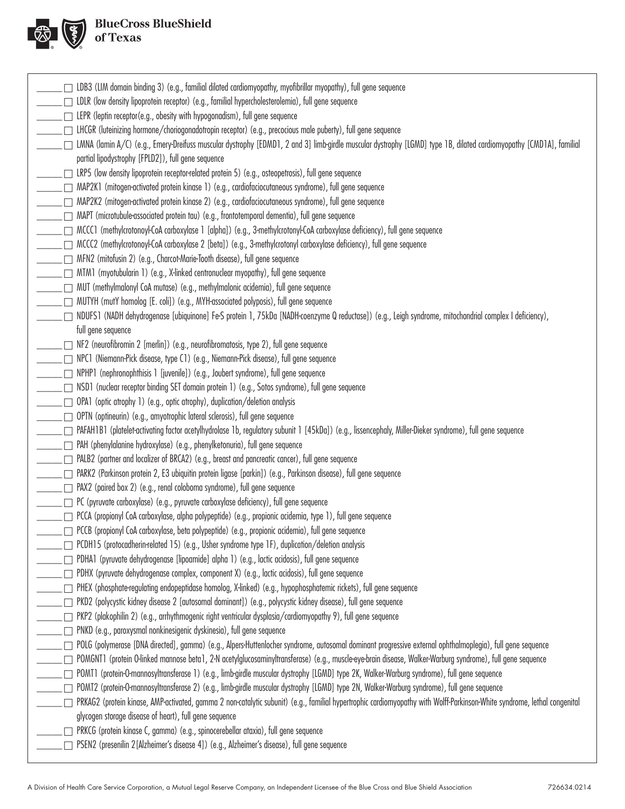

| LDB3 (LIM domain binding 3) (e.g., familial dilated cardiomyopathy, myofibrillar myopathy), full gene sequence                                                             |
|----------------------------------------------------------------------------------------------------------------------------------------------------------------------------|
| $\Box$ LDLR (low density lipoprotein receptor) (e.g., familial hypercholesterolemia), full gene sequence                                                                   |
| $\Box$ LEPR (leptin receptor(e.g., obesity with hypogonadism), full gene sequence                                                                                          |
| $\Box$ LHCGR (luteinizing hormone/choriogonadotropin receptor) (e.g., precocious male puberty), full gene sequence                                                         |
| □ LMNA (lamin A/C) (e.g., Emery-Dreifuss muscular dystrophy [EDMD1, 2 and 3] limb-girdle muscular dystrophy [LGMD] type 1B, dilated cardiomyopathy [CMD1A], familial       |
| partial lipodystrophy [FPLD2]), full gene sequence                                                                                                                         |
| LRP5 (low density lipoprotein receptor-related protein 5) (e.g., osteopetrosis), full gene sequence                                                                        |
| $\Box$ MAP2K1 (mitogen-activated protein kinase 1) (e.g., cardiofaciocutaneous syndrome), full gene sequence                                                               |
| MAP2K2 (mitogen-activated protein kinase 2) (e.g., cardiofaciocutaneous syndrome), full gene sequence                                                                      |
| MAPT (microtubule-associated protein tau) (e.g., frontotemporal dementia), full gene sequence                                                                              |
| □ MCCC1 (methylcrotonoyl-CoA carboxylase 1 [alpha]) (e.g., 3-methylcrotonyl-CoA carboxylase deficiency), full gene sequence                                                |
| □ MCCC2 (methylcrotonoyl-CoA carboxylase 2 [beta]) (e.g., 3-methylcrotonyl carboxylase deficiency), full gene sequence                                                     |
| □ MFN2 (mitofusin 2) (e.g., Charcot-Marie-Tooth disease), full gene sequence                                                                                               |
| MTM1 (myotubularin 1) (e.g., X-linked centronuclear myopathy), full gene sequence                                                                                          |
| $\Box$ MUT (methylmalonyl CoA mutase) (e.g., methylmalonic acidemia), full gene sequence                                                                                   |
| MUTYH (mutY homolog [E. coli]) (e.g., MYH-associated polyposis), full gene sequence                                                                                        |
| ◯ NDUFS1 (NADH dehydrogenase [ubiquinone] Fe-S protein 1, 75kDa [NADH-coenzyme Q reductase]) (e.g., Leigh syndrome, mitochondrial complex I deficiency),                   |
| full gene sequence                                                                                                                                                         |
| $\Box$ NF2 (neurofibromin 2 [merlin]) (e.g., neurofibromatosis, type 2), full gene sequence                                                                                |
| □ NPC1 (Niemann-Pick disease, type C1) (e.g., Niemann-Pick disease), full gene sequence                                                                                    |
| $\Box$ NPHP1 (nephronophthisis 1 [juvenile]) (e.g., Joubert syndrome), full gene sequence                                                                                  |
| □ NSD1 (nuclear receptor binding SET domain protein 1) (e.g., Sotos syndrome), full gene sequence                                                                          |
| □ OPA1 (optic atrophy 1) (e.g., optic atrophy), duplication/deletion analysis                                                                                              |
| OPTN (optineurin) (e.g., amyotrophic lateral sclerosis), full gene sequence                                                                                                |
| PAFAH1B1 (platelet-activating factor acetylhydrolase 1b, regulatory subunit 1 [45kDa]) (e.g., lissencephaly, Miller-Dieker syndrome), full gene sequence                   |
| □ PAH (phenylalanine hydroxylase) (e.g., phenylketonuria), full gene sequence                                                                                              |
|                                                                                                                                                                            |
| $\Box$ PALB2 (partner and localizer of BRCA2) (e.g., breast and pancreatic cancer), full gene sequence                                                                     |
| □ PARK2 (Parkinson protein 2, E3 ubiquitin protein ligase [parkin]) (e.g., Parkinson disease), full gene sequence                                                          |
| □ PAX2 (paired box 2) (e.g., renal coloboma syndrome), full gene sequence                                                                                                  |
| $\Box$ PC (pyruvate carboxylase) (e.g., pyruvate carboxylase deficiency), full gene sequence                                                                               |
| PCCA (propionyl CoA carboxylase, alpha polypeptide) (e.g., propionic acidemia, type 1), full gene sequence                                                                 |
| $\Box$ PCCB (propionyl CoA carboxylase, beta polypeptide) (e.g., propionic acidemia), full gene sequence                                                                   |
| $\Box$ PCDH15 (protocadherin-related 15) (e.g., Usher syndrome type 1F), duplication/deletion analysis                                                                     |
| $\Box$ PDHA1 (pyruvate dehydrogenase [lipoamide] alpha 1) (e.g., lactic acidosis), full gene sequence                                                                      |
| PDHX (pyruvate dehydrogenase complex, component X) (e.g., lactic acidosis), full gene sequence                                                                             |
| □ PHEX (phosphate-regulating endopeptidase homolog, X-linked) (e.g., hypophosphatemic rickets), full gene sequence                                                         |
| □ PKD2 (polycystic kidney disease 2 [autosomal dominant]) (e.g., polycystic kidney disease), full gene sequence                                                            |
| PKP2 (plakophilin 2) (e.g., arrhythmogenic right ventricular dysplasia/cardiomyopathy 9), full gene sequence                                                               |
| $\Box$ PNKD (e.g., paroxysmal nonkinesigenic dyskinesia), full gene sequence                                                                                               |
| POLG (polymerase [DNA directed], gamma) (e.g., Alpers-Huttenlocher syndrome, autosomal dominant progressive external ophthalmoplegia), full gene sequence                  |
| □ POMGNT1 (protein O-linked mannose beta1, 2-N acetylglucosaminyltransferase) (e.g., muscle-eye-brain disease, Walker-Warburg syndrome), full gene sequence                |
| □ POMT1 (protein-O-mannosyltransferase 1) (e.g., limb-girdle muscular dystrophy [LGMD] type 2K, Walker-Warburg syndrome), full gene sequence                               |
| POMT2 (protein-O-mannosyltransferase 2) (e.g., limb-girdle muscular dystrophy [LGMD] type 2N, Walker-Warburg syndrome), full gene sequence                                 |
| □ PRKAG2 (protein kinase, AMP-activated, gamma 2 non-catalytic subunit) (e.g., familial hypertrophic cardiomyopathy with Wolff-Parkinson-White syndrome, lethal congenital |
| glycogen storage disease of heart), full gene sequence                                                                                                                     |
| PRKCG (protein kinase C, gamma) (e.g., spinocerebellar ataxia), full gene sequence                                                                                         |
| □ PSEN2 (presenilin 2 [Alzheimer's disease 4]) (e.g., Alzheimer's disease), full gene sequence                                                                             |
|                                                                                                                                                                            |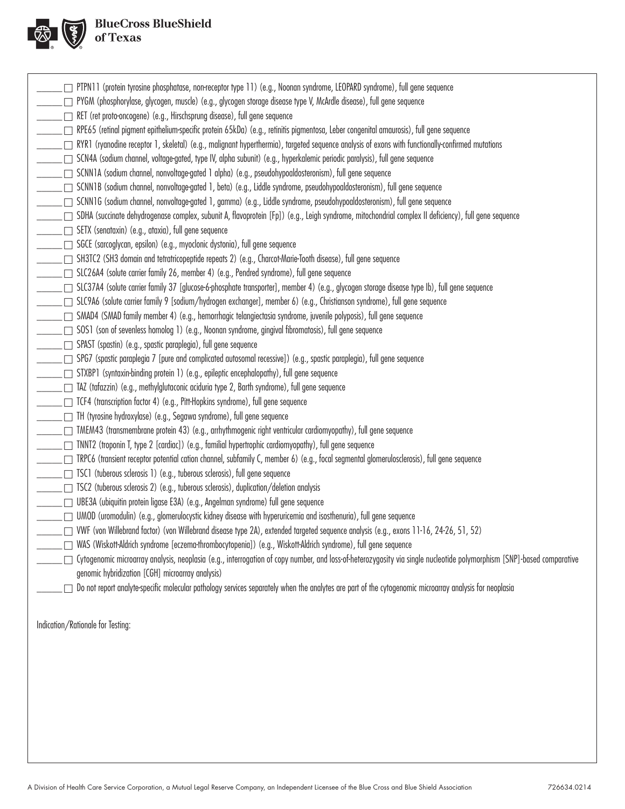

| PTPN11 (protein tyrosine phosphatase, non-receptor type 11) (e.g., Noonan syndrome, LEOPARD syndrome), full gene sequence                                             |
|-----------------------------------------------------------------------------------------------------------------------------------------------------------------------|
| □ PYGM (phosphorylase, glycogen, muscle) (e.g., glycogen storage disease type V, McArdle disease), full gene sequence                                                 |
| RET (ret proto-oncogene) (e.g., Hirschsprung disease), full gene sequence                                                                                             |
| □ RPE65 (retinal pigment epithelium-specific protein 65kDa) (e.g., retinitis pigmentosa, Leber congenital amaurosis), full gene sequence                              |
| [⊇] RYR1 (ryanodine receptor 1, skeletal) (e.g., malignant hyperthermia), targeted sequence analysis of exons with functionally-confirmed mutations                   |
| SCN4A (sodium channel, voltage-gated, type IV, alpha subunit) (e.g., hyperkalemic periodic paralysis), full gene sequence                                             |
| □ SCNN1A (sodium channel, nonvoltage-gated 1 alpha) (e.g., pseudohypoaldosteronism), full gene sequence                                                               |
| □ SCNN1B (sodium channel, nonvoltage-gated 1, beta) (e.g., Liddle syndrome, pseudohypoaldosteronism), full gene sequence                                              |
| □ SCNN1G (sodium channel, nonvoltage-gated 1, gamma) (e.g., Liddle syndrome, pseudohypoaldosteronism), full gene sequence                                             |
| □ SDHA (succinate dehydrogenase complex, subunit A, flavoprotein [Fp]) (e.g., Leigh syndrome, mitochondrial complex II deficiency), full gene sequence                |
| ∑ SETX (senataxin) (e.g., ataxia), full gene sequence                                                                                                                 |
| □ SGCE (sarcoglycan, epsilon) (e.g., myoclonic dystonia), full gene sequence                                                                                          |
| □ SH3TC2 (SH3 domain and tetratricopeptide repeats 2) (e.g., Charcot-Marie-Tooth disease), full gene sequence                                                         |
| □ SLC26A4 (solute carrier family 26, member 4) (e.g., Pendred syndrome), full gene sequence                                                                           |
| □ SLC37A4 (solute carrier family 37 [glucose-6-phosphate transporter], member 4) (e.g., glycogen storage disease type Ib), full gene sequence                         |
| □ SLC9A6 (solute carrier family 9 [sodium/hydrogen exchanger], member 6) (e.g., Christianson syndrome), full gene sequence                                            |
| _ SMAD4 (SMAD family member 4) (e.g., hemorrhagic telangiectasia syndrome, juvenile polyposis), full gene sequence                                                    |
| $\Box$ SOS1 (son of sevenless homolog 1) (e.g., Noonan syndrome, gingival fibromatosis), full gene sequence                                                           |
| □ SPAST (spastin) (e.g., spastic paraplegia), full gene sequence                                                                                                      |
| □ SPG7 (spastic paraplegia 7 [pure and complicated autosomal recessive]) (e.g., spastic paraplegia), full gene sequence                                               |
| □ STXBP1 (syntaxin-binding protein 1) (e.g., epileptic encephalopathy), full gene sequence                                                                            |
| □ TAZ (tafazzin) (e.g., methylglutaconic aciduria type 2, Barth syndrome), full gene sequence                                                                         |
| □ TCF4 (transcription factor 4) (e.g., Pitt-Hopkins syndrome), full gene sequence                                                                                     |
| □ TH (tyrosine hydroxylase) (e.g., Segawa syndrome), full gene sequence                                                                                               |
| □ TMEM43 (transmembrane protein 43) (e.g., arrhythmogenic right ventricular cardiomyopathy), full gene sequence                                                       |
| ∏ TNNT2 (troponin T, type 2 [cardiac]) (e.g., familial hypertrophic cardiomyopathy), full gene sequence                                                               |
| $\Box$ TRPC6 (transient receptor potential cation channel, subfamily C, member 6) (e.g., focal segmental glomerulosclerosis), full gene sequence                      |
| □ TSC1 (tuberous sclerosis 1) (e.g., tuberous sclerosis), full gene sequence                                                                                          |
| □ TSC2 (tuberous sclerosis 2) (e.g., tuberous sclerosis), duplication/deletion analysis                                                                               |
| UBE3A (ubiquitin protein ligase E3A) (e.g., Angelman syndrome) full gene sequence                                                                                     |
| UMOD (uromodulin) (e.g., glomerulocystic kidney disease with hyperuricemia and isosthenuria), full gene sequence                                                      |
| □ VWF (von Willebrand factor) (von Willebrand disease type 2A), extended targeted sequence analysis (e.g., exons 11-16, 24-26, 51, 52)                                |
| WAS (Wiskott-Aldrich syndrome [eczema-thrombocytopenia]) (e.g., Wiskott-Aldrich syndrome), full gene sequence                                                         |
| Cytogenomic microarray analysis, neoplasia (e.g., interrogation of copy number, and loss-of-heterozygosity via single nucleotide polymorphism [SNP]-based comparative |
| genomic hybridization [CGH] microarray analysis)                                                                                                                      |
| Do not report analyte-specific molecular pathology services separately when the analytes are part of the cytogenomic microarray analysis for neoplasia                |
|                                                                                                                                                                       |
|                                                                                                                                                                       |
| Indication/Rationale for Testing:                                                                                                                                     |
|                                                                                                                                                                       |
|                                                                                                                                                                       |
|                                                                                                                                                                       |
|                                                                                                                                                                       |
|                                                                                                                                                                       |
|                                                                                                                                                                       |
|                                                                                                                                                                       |
|                                                                                                                                                                       |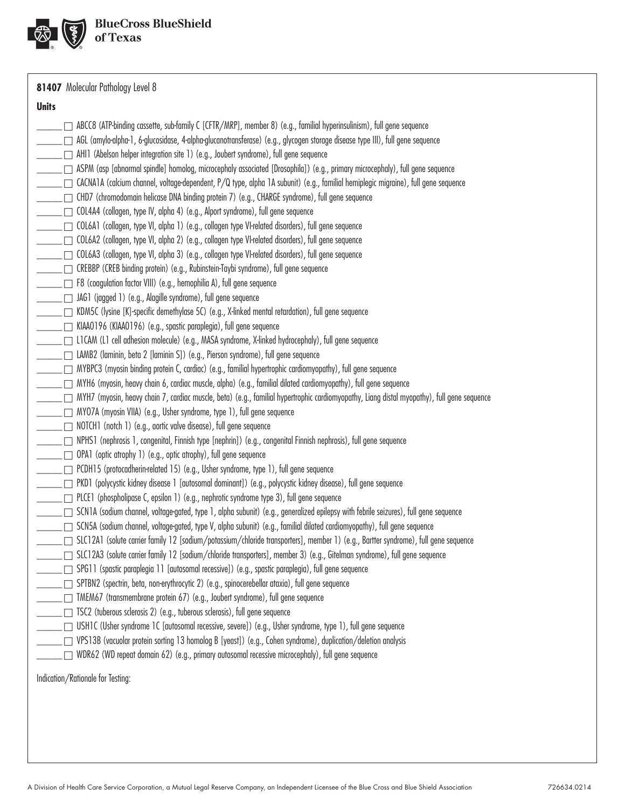

**81407** Molecular Pathology Level 8

#### **Units**

| _ ∩ ABCC8 (ATP-binding cassette, sub-family C [CFTR/MRP], member 8) (e.g., familial hyperinsulinism), full gene sequence                                                                |
|-----------------------------------------------------------------------------------------------------------------------------------------------------------------------------------------|
| _ □ AGL (amylo-alpha-1, 6-glucosidase, 4-alpha-glucanotransferase) (e.g., glycogen storage disease type III), full gene sequence                                                        |
| _____ ___ AHI1 (Abelson helper integration site 1) (e.g., Joubert syndrome), full gene sequence                                                                                         |
| □ ASPM (asp [abnormal spindle] homolog, microcephaly associated [Drosophila]) (e.g., primary microcephaly), full gene sequence                                                          |
| _____ □ CACNA1A (calcium channel, voltage-dependent, P/Q type, alpha 1A subunit) (e.g., familial hemiplegic migraine), full gene sequence                                               |
| _ ┌ CHD7 (chromodomain helicase DNA binding protein 7) (e.g., CHARGE syndrome), full gene sequence                                                                                      |
| □ COL4A4 (collagen, type IV, alpha 4) (e.g., Alport syndrome), full gene sequence                                                                                                       |
| ⊆⊆⊆ COL6A1 (collagen, type VI, alpha 1) (e.g., collagen type VI-related disorders), full gene sequence                                                                                  |
| _____ □ COL6A2 (collagen, type VI, alpha 2) (e.g., collagen type VI-related disorders), full gene sequence                                                                              |
| _ □ COL6A3 (collagen, type VI, alpha 3) (e.g., collagen type VI-related disorders), full gene sequence                                                                                  |
| _ _ CREBBP (CREB binding protein) (e.g., Rubinstein-Taybi syndrome), full gene sequence                                                                                                 |
| _____ __ F8 (coagulation factor VIII) (e.g., hemophilia A), full gene sequence                                                                                                          |
| ____ __ JAG1 (jagged 1) (e.g., Alagille syndrome), full gene sequence                                                                                                                   |
| KDM5C (lysine [K]-specific demethylase 5C) (e.g., X-linked mental retardation), full gene sequence [K]-specific demethylase 5C) (e.g., X-linked mental retardation), full gene sequence |
| ______ ___ KIAAO196 (KIAAO196) (e.g., spastic paraplegia), full gene sequence                                                                                                           |
| _ ┌ L1 CAM (L1 cell adhesion molecule) (e.g., MASA syndrome, X-linked hydrocephaly), full gene sequence                                                                                 |
| _____ □ LAMB2 (laminin, beta 2 [laminin S]) (e.g., Pierson syndrome), full gene sequence                                                                                                |
| _____ __ MYBPC3 (myosin binding protein C, cardiac) (e.g., familial hypertrophic cardiomyopathy), full gene sequence                                                                    |
| ── MYH6 (myosin, heavy chain 6, cardiac muscle, alpha) (e.g., familial dilated cardiomyopathy), full gene sequence                                                                      |
| _____ MYH7 (myosin, heavy chain 7, cardiac muscle, beta) (e.g., familial hypertrophic cardiomyopathy, Liang distal myopathy), full gene sequence                                        |
| ______ ___ MYO7A (myosin VIIA) (e.g., Usher syndrome, type 1), full gene sequence                                                                                                       |
| NOTCH1 (notch 1) (e.g., aortic valve disease), full gene sequence                                                                                                                       |
| _ ├─ NPHS1 (nephrosis 1, congenital, Finnish type [nephrin]) (e.g., congenital Finnish nephrosis), full gene sequence                                                                   |
| ____ OPA1 (optic atrophy 1) (e.g., optic atrophy), full gene sequence                                                                                                                   |
| _____ □ PCDH15 (protocadherin-related 15) (e.g., Usher syndrome, type 1), full gene sequence                                                                                            |
| ____ PKD1 (polycystic kidney disease 1 [autosomal dominant]) (e.g., polycystic kidney disease), full gene sequence                                                                      |
| ______ ___ PLCE1 (phospholipase C, epsilon 1) (e.g., nephrotic syndrome type 3), full gene sequence                                                                                     |
| ⊆⊆ SCN1A (sodium channel, voltage-gated, type 1, alpha subunit) (e.g., generalized epilepsy with febrile seizures), full gene sequence                                                  |
| □ SCN5A (sodium channel, voltage-gated, type V, alpha subunit) (e.g., familial dilated cardiomyopathy), full gene sequence                                                              |
| _____ SLC12A1 (solute carrier family 12 [sodium/potassium/chloride transporters], member 1) (e.g., Bartter syndrome), full gene sequence                                                |
|                                                                                                                                                                                         |
| SPG11 (spastic paraplegia 11 [autosomal recessive]) (e.g., spastic paraplegia), full gene sequence                                                                                      |
| SPTBN2 (spectrin, beta, non-erythrocytic 2) (e.g., spinocerebellar ataxia), full gene sequence                                                                                          |
| $\Box$ TMEM67 (transmembrane protein 67) (e.g., Joubert syndrome), full gene sequence                                                                                                   |
| $\Box$ TSC2 (tuberous sclerosis 2) (e.g., tuberous sclerosis), full gene sequence                                                                                                       |
| USH1C (Usher syndrome 1C [autosomal recessive, severe]) (e.g., Usher syndrome, type 1), full gene sequence                                                                              |
| VPS13B (vacuolar protein sorting 13 homolog B [yeast]) (e.g., Cohen syndrome), duplication/deletion analysis                                                                            |
| WDR62 (WD repeat domain 62) (e.g., primary autosomal recessive microcephaly), full gene sequence                                                                                        |
| Indication/Rationale for Testing:                                                                                                                                                       |
|                                                                                                                                                                                         |
|                                                                                                                                                                                         |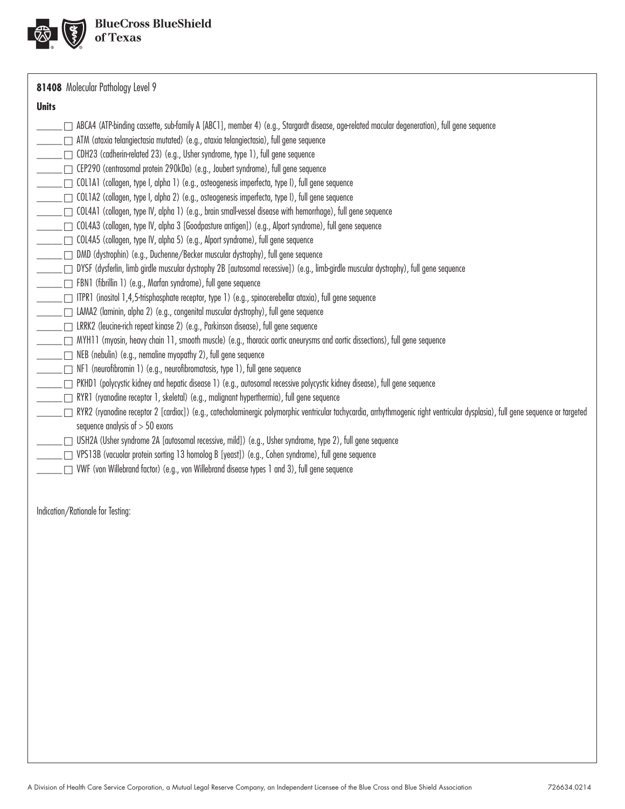

**81408** Molecular Pathology Level 9

#### **Units**

| <b>Units</b> | ABCA4 (ATP-binding cassette, sub-family A [ABC1], member 4) (e.g., Stargardt disease, age-related macular degeneration), full gene sequence<br>_ _ ATM (ataxia telangiectasia mutated) (e.g., ataxia telangiectasia), full gene sequence<br>____ CDH23 (cadherin-related 23) (e.g., Usher syndrome, type 1), full gene sequence<br>____ _ CEP290 (centrosomal protein 290kDa) (e.g., Joubert syndrome), full gene sequence<br>_____ □ COL1A1 (collagen, type I, alpha 1) (e.g., osteogenesis imperfecta, type I), full gene sequence<br>□ COL1A2 (collagen, type I, alpha 2) (e.g., osteogenesis imperfecta, type I), full gene sequence<br>COL4A1 (collagen, type IV, alpha 1) (e.g., brain small-vessel disease with hemorrhage), full gene sequence<br>□ COL4A3 (collagen, type IV, alpha 3 [Goodpasture antigen]) (e.g., Alport syndrome), full gene sequence<br>____ COL4A5 (collagen, type IV, alpha 5) (e.g., Alport syndrome), full gene sequence<br>□ DMD (dystrophin) (e.g., Duchenne/Becker muscular dystrophy), full gene sequence<br>FBN1 (fibrillin 1) (e.g., Marfan syndrome), full gene sequence<br>_____ ITPR1 (inositol 1,4,5-trisphosphate receptor, type 1) (e.g., spinocerebellar ataxia), full gene sequence<br>____ □ LAMA2 (laminin, alpha 2) (e.g., congenital muscular dystrophy), full gene sequence<br>____ □ LRRK2 (leucine-rich repeat kinase 2) (e.g., Parkinson disease), full gene sequence<br>□ MYH11 (myosin, heavy chain 11, smooth muscle) (e.g., thoracic aortic aneurysms and aortic dissections), full gene sequence<br><u>__</u> ___   NEB (nebulin) (e.g., nemaline myopathy 2), full gene sequence<br>$\rule{1em}{0.15mm}$ $\Box$ NF1 (neurofibromin 1) (e.g., neurofibromatosis, type 1), full gene sequence<br>_ □ PKHD1 (polycystic kidney and hepatic disease 1) (e.g., autosomal recessive polycystic kidney disease), full gene sequence<br>RYR1 (ryanodine receptor 1, skeletal) (e.g., malignant hyperthermia), full gene sequence<br>[7] RYR2 (ryanodine receptor 2 [cardiac]) (e.g., catecholaminergic polymorphic ventricular tachycardia, arrhythmogenic right ventricular dysplasia), full gene sequence or targeted<br>sequence analysis of $> 50$ exons<br>_ USH2A (Usher syndrome 2A [autosomal recessive, mild]) (e.g., Usher syndrome, type 2), full gene sequence<br>∑ VPS13B (vacuolar protein sorting 13 homolog B [yeast]) (e.g., Cohen syndrome), full gene sequence<br>□ VWF (von Willebrand factor) (e.g., von Willebrand disease types 1 and 3), full gene sequence |
|--------------|------------------------------------------------------------------------------------------------------------------------------------------------------------------------------------------------------------------------------------------------------------------------------------------------------------------------------------------------------------------------------------------------------------------------------------------------------------------------------------------------------------------------------------------------------------------------------------------------------------------------------------------------------------------------------------------------------------------------------------------------------------------------------------------------------------------------------------------------------------------------------------------------------------------------------------------------------------------------------------------------------------------------------------------------------------------------------------------------------------------------------------------------------------------------------------------------------------------------------------------------------------------------------------------------------------------------------------------------------------------------------------------------------------------------------------------------------------------------------------------------------------------------------------------------------------------------------------------------------------------------------------------------------------------------------------------------------------------------------------------------------------------------------------------------------------------------------------------------------------------------------------------------------------------------------------------------------------------------------------------------------------------------------------------------------------------------------------------------------------------------------------------------------------------------------------------------------------------------------------------------------------------------------------------------------------------------------------------------------------------------------------------------------------------------------------------------------------------------------------------------------------------------------------------|
|              | Indication/Rationale for Testing:                                                                                                                                                                                                                                                                                                                                                                                                                                                                                                                                                                                                                                                                                                                                                                                                                                                                                                                                                                                                                                                                                                                                                                                                                                                                                                                                                                                                                                                                                                                                                                                                                                                                                                                                                                                                                                                                                                                                                                                                                                                                                                                                                                                                                                                                                                                                                                                                                                                                                                        |
|              |                                                                                                                                                                                                                                                                                                                                                                                                                                                                                                                                                                                                                                                                                                                                                                                                                                                                                                                                                                                                                                                                                                                                                                                                                                                                                                                                                                                                                                                                                                                                                                                                                                                                                                                                                                                                                                                                                                                                                                                                                                                                                                                                                                                                                                                                                                                                                                                                                                                                                                                                          |